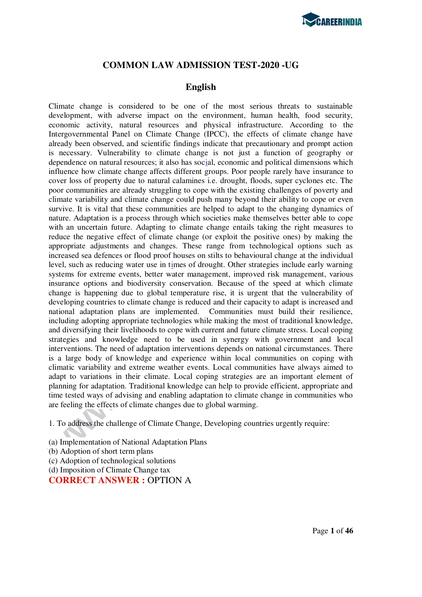

## **COMMON LAW ADMISSION TEST-2020 -UG**

#### **English**

Final technologies and knowledge could bush many beyond their ability to cope<br>curvive. It is viral that these communities are helped to adapt to the changing dyna<br>nature. Adaptation is a process through which societies mak Climate change is considered to be one of the most serious threats to sustainable development, with adverse impact on the environment, human health, food security, economic activity, natural resources and physical infrastructure. According to the Intergovernmental Panel on Climate Change (IPCC), the effects of climate change have already been observed, and scientific findings indicate that precautionary and prompt action is necessary. Vulnerability to climate change is not just a function of geography or dependence on natural resources; it also has social, economic and political dimensions which influence how climate change affects different groups. Poor people rarely have insurance to cover loss of property due to natural calamines i.e. drought, floods, super cyclones etc. The poor communities are already struggling to cope with the existing challenges of poverty and climate variability and climate change could push many beyond their ability to cope or even survive. It is vital that these communities are helped to adapt to the changing dynamics of nature. Adaptation is a process through which societies make themselves better able to cope with an uncertain future. Adapting to climate change entails taking the right measures to reduce the negative effect of climate change (or exploit the positive ones) by making the appropriate adjustments and changes. These range from technological options such as increased sea defences or flood proof houses on stilts to behavioural change at the individual level, such as reducing water use in times of drought. Other strategies include early warning systems for extreme events, better water management, improved risk management, various insurance options and biodiversity conservation. Because of the speed at which climate change is happening due to global temperature rise, it is urgent that the vulnerability of developing countries to climate change is reduced and their capacity to adapt is increased and national adaptation plans are implemented. Communities must build their resilience, including adopting appropriate technologies while making the most of traditional knowledge, and diversifying their livelihoods to cope with current and future climate stress. Local coping strategies and knowledge need to be used in synergy with government and local interventions. The need of adaptation interventions depends on national circumstances. There is a large body of knowledge and experience within local communities on coping with climatic variability and extreme weather events. Local communities have always aimed to adapt to variations in their climate. Local coping strategies are an important element of planning for adaptation. Traditional knowledge can help to provide efficient, appropriate and time tested ways of advising and enabling adaptation to climate change in communities who are feeling the effects of climate changes due to global warming.

1. To address the challenge of Climate Change, Developing countries urgently require:

(a) Implementation of National Adaptation Plans

- (b) Adoption of short term plans
- (c) Adoption of technological solutions

(d) Imposition of Climate Change tax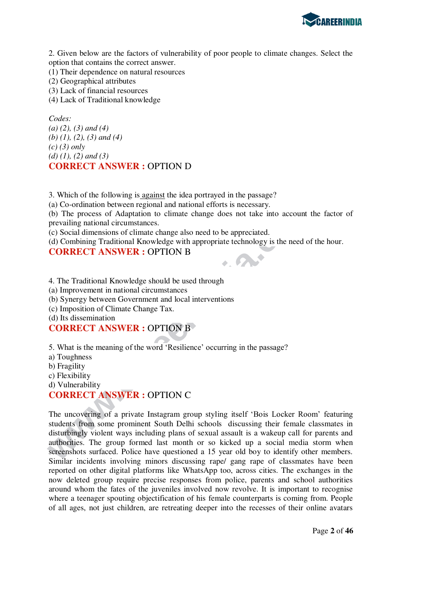

2. Given below are the factors of vulnerability of poor people to climate changes. Select the option that contains the correct answer.

(1) Their dependence on natural resources

(2) Geographical attributes

(3) Lack of financial resources

(4) Lack of Traditional knowledge

#### *Codes:*

*(a) (2), (3) and (4) (b) (1), (2), (3) and (4) (c) (3) only (d) (1), (2) and (3)*  **CORRECT ANSWER :** OPTION D

3. Which of the following is against the idea portrayed in the passage?

(a) Co-ordination between regional and national efforts is necessary.

(b) The process of Adaptation to climate change does not take into account the factor of prevailing national circumstances.

(c) Social dimensions of climate change also need to be appreciated.

(d) Combining Traditional Knowledge with appropriate technology is the need of the hour.

#### **CORRECT ANSWER :** OPTION B



4. The Traditional Knowledge should be used through

(a) Improvement in national circumstances

(b) Synergy between Government and local interventions

(c) Imposition of Climate Change Tax.

(d) Its dissemination

#### **CORRECT ANSWER :** OPTION B

5. What is the meaning of the word 'Resilience' occurring in the passage?

a) Toughness

b) Fragility

c) Flexibility

d) Vulnerability

**CORRECT ANSWER :** OPTION C

3. Which of the following is against the idea portrayed in the passage?<br>
(a) Co-ordination between regional and national efforts is necessary.<br>
(b) The process of Adaptation to climate change does not take into account the The uncovering of a private Instagram group styling itself 'Bois Locker Room' featuring students from some prominent South Delhi schools discussing their female classmates in disturbingly violent ways including plans of sexual assault is a wakeup call for parents and authorities. The group formed last month or so kicked up a social media storm when screenshots surfaced. Police have questioned a 15 year old boy to identify other members. Similar incidents involving minors discussing rape/ gang rape of classmates have been reported on other digital platforms like WhatsApp too, across cities. The exchanges in the now deleted group require precise responses from police, parents and school authorities around whom the fates of the juveniles involved now revolve. It is important to recognise where a teenager spouting objectification of his female counterparts is coming from. People of all ages, not just children, are retreating deeper into the recesses of their online avatars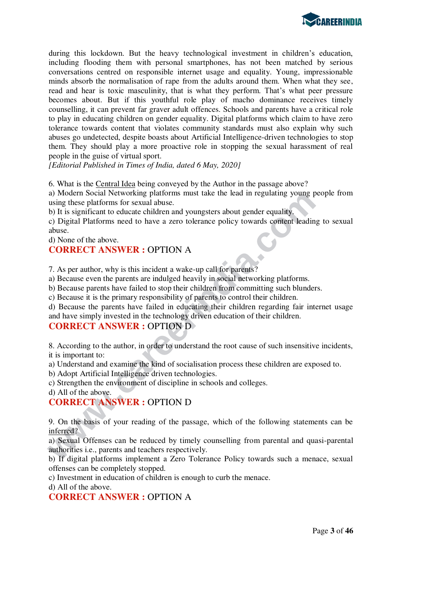

during this lockdown. But the heavy technological investment in children's education, including flooding them with personal smartphones, has not been matched by serious conversations centred on responsible internet usage and equality. Young, impressionable minds absorb the normalisation of rape from the adults around them. When what they see, read and hear is toxic masculinity, that is what they perform. That's what peer pressure becomes about. But if this youthful role play of macho dominance receives timely counselling, it can prevent far graver adult offences. Schools and parents have a critical role to play in educating children on gender equality. Digital platforms which claim to have zero tolerance towards content that violates community standards must also explain why such abuses go undetected, despite boasts about Artificial Intelligence-driven technologies to stop them. They should play a more proactive role in stopping the sexual harassment of real people in the guise of virtual sport.

*[Editorial Published in Times of India, dated 6 May, 2020]* 

6. What is the Central Idea being conveyed by the Author in the passage above?

a) Modern Social Networking platforms must take the lead in regulating young people from using these platforms for sexual abuse.

b) It is significant to educate children and youngsters about gender equality.

c) Digital Platforms need to have a zero tolerance policy towards content leading to sexual abuse.

d) None of the above. **CORRECT ANSWER :** OPTION A

7. As per author, why is this incident a wake-up call for parents?

a) Because even the parents are indulged heavily in social networking platforms.

b) Because parents have failed to stop their children from committing such blunders.

c) Because it is the primary responsibility of parents to control their children.

a) wooder Society and Networking plation<br>susing these platforms for sexual abuse.<br>
wising these platforms for sexual abuse.<br>
b) It is significant to educate children and youngsters about gender equality.<br>
c) Digital Platfo d) Because the parents have failed in educating their children regarding fair internet usage and have simply invested in the technology driven education of their children.

## **CORRECT ANSWER :** OPTION D

8. According to the author, in order to understand the root cause of such insensitive incidents, it is important to:

a) Understand and examine the kind of socialisation process these children are exposed to.

b) Adopt Artificial Intelligence driven technologies.

c) Strengthen the environment of discipline in schools and colleges.

d) All of the above.

## **CORRECT ANSWER :** OPTION D

9. On the basis of your reading of the passage, which of the following statements can be inferred?

a) Sexual Offenses can be reduced by timely counselling from parental and quasi-parental authorities i.e., parents and teachers respectively.

b) If digital platforms implement a Zero Tolerance Policy towards such a menace, sexual offenses can be completely stopped.

c) Investment in education of children is enough to curb the menace.

d) All of the above.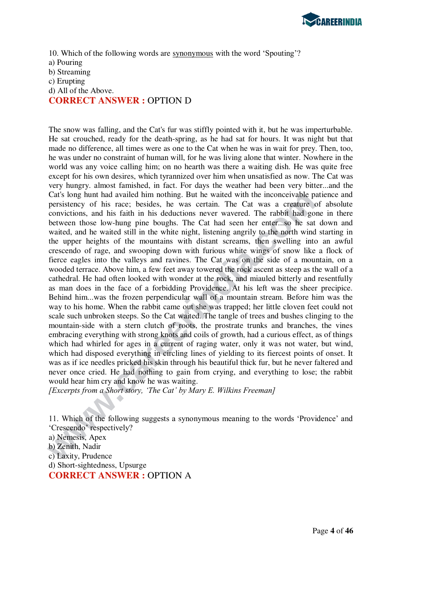

10. Which of the following words are synonymous with the word 'Spouting'? a) Pouring b) Streaming c) Erupting d) All of the Above. **CORRECT ANSWER :** OPTION D

Cars long hunt had availad him nothing. But he waited with the inconceivable paited with the incorective persistency of his race; besides, he was certain. The Cat was a creature of inconvictions, and his faith in his dedu The snow was falling, and the Cat's fur was stiffly pointed with it, but he was imperturbable. He sat crouched, ready for the death-spring, as he had sat for hours. It was night but that made no difference, all times were as one to the Cat when he was in wait for prey. Then, too, he was under no constraint of human will, for he was living alone that winter. Nowhere in the world was any voice calling him; on no hearth was there a waiting dish. He was quite free except for his own desires, which tyrannized over him when unsatisfied as now. The Cat was very hungry. almost famished, in fact. For days the weather had been very bitter...and the Cat's long hunt had availed him nothing. But he waited with the inconceivable patience and persistency of his race; besides, he was certain. The Cat was a creature of absolute convictions, and his faith in his deductions never wavered. The rabbit had gone in there between those low-hung pine boughs. The Cat had seen her enter...so he sat down and waited, and he waited still in the white night, listening angrily to the north wind starting in the upper heights of the mountains with distant screams, then swelling into an awful crescendo of rage, and swooping down with furious white wings of snow like a flock of fierce eagles into the valleys and ravines. The Cat was on the side of a mountain, on a wooded terrace. Above him, a few feet away towered the rock ascent as steep as the wall of a cathedral. He had often looked with wonder at the rock, and miauled bitterly and resentfully as man does in the face of a forbidding Providence. At his left was the sheer precipice. Behind him...was the frozen perpendicular wall of a mountain stream. Before him was the way to his home. When the rabbit came out she was trapped; her little cloven feet could not scale such unbroken steeps. So the Cat waited. The tangle of trees and bushes clinging to the mountain-side with a stern clutch of roots, the prostrate trunks and branches, the vines embracing everything with strong knots and coils of growth, had a curious effect, as of things which had whirled for ages in a current of raging water, only it was not water, but wind, which had disposed everything in circling lines of yielding to its fiercest points of onset. It was as if ice needles pricked his skin through his beautiful thick fur, but he never faltered and never once cried. He had nothing to gain from crying, and everything to lose; the rabbit would hear him cry and know he was waiting.

*[Excerpts from a Short story, "The Cat" by Mary E. Wilkins Freeman]*

11. Which of the following suggests a synonymous meaning to the words ‗Providence' and ‗Crescendo' respectively?

a) Nemesis, Apex b) Zenith, Nadir c) Laxity, Prudence d) Short-sightedness, Upsurge **CORRECT ANSWER :** OPTION A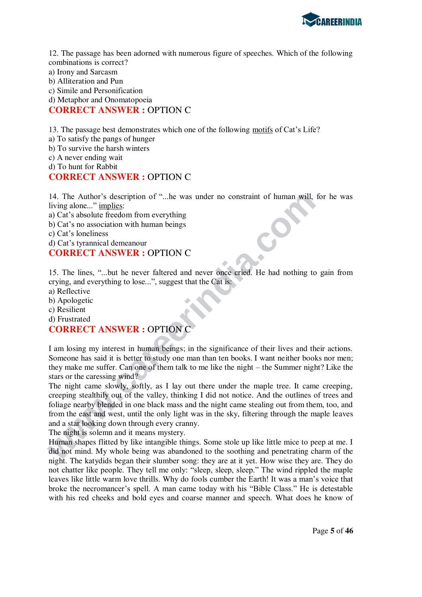

12. The passage has been adorned with numerous figure of speeches. Which of the following combinations is correct?

- a) Irony and Sarcasm
- b) Alliteration and Pun
- c) Simile and Personification
- d) Metaphor and Onomatopoeia

## **CORRECT ANSWER :** OPTION C

13. The passage best demonstrates which one of the following motifs of Cat's Life?

- a) To satisfy the pangs of hunger
- b) To survive the harsh winters
- c) A never ending wait
- d) To hunt for Rabbit

#### **CORRECT ANSWER :** OPTION C

14. The Author's description of "...he was under no constraint of human will, for he was living alone..." implies:

a) Cat's absolute freedom from everything

b) Cat's no association with human beings

c) Cat's loneliness

d) Cat's tyrannical demeanour

## **CORRECT ANSWER :** OPTION C

15. The lines, "...but he never faltered and never once cried. He had nothing to gain from crying, and everything to lose...", suggest that the Cat is:

- a) Reflective
- b) Apologetic
- c) Resilient
- d) Frustrated

## **CORRECT ANSWER :** OPTION C

I am losing my interest in human beings; in the significance of their lives and their actions. Someone has said it is better to study one man than ten books. I want neither books nor men; they make me suffer. Can one of them talk to me like the night – the Summer night? Like the stars or the caressing wind?

14. The Author's description of "...he was under no constraint of human will, for<br>living alone..." implies:<br>
with the colon from everything<br>
a) Cat's absolute freedom from everything<br>
b) Cat's long-lines,<br>
c) Cat's lynamic The night came slowly, softly, as I lay out there under the maple tree. It came creeping, creeping stealthily out of the valley, thinking I did not notice. And the outlines of trees and foliage nearby blended in one black mass and the night came stealing out from them, too, and from the east and west, until the only light was in the sky, filtering through the maple leaves and a star looking down through every cranny.

The night is solemn and it means mystery.

Human shapes flitted by like intangible things. Some stole up like little mice to peep at me. I did not mind. My whole being was abandoned to the soothing and penetrating charm of the night. The katydids began their slumber song: they are at it yet. How wise they are. They do not chatter like people. They tell me only: "sleep, sleep, sleep." The wind rippled the maple leaves like little warm love thrills. Why do fools cumber the Earth! It was a man's voice that broke the necromancer's spell. A man came today with his "Bible Class." He is detestable with his red cheeks and bold eyes and coarse manner and speech. What does he know of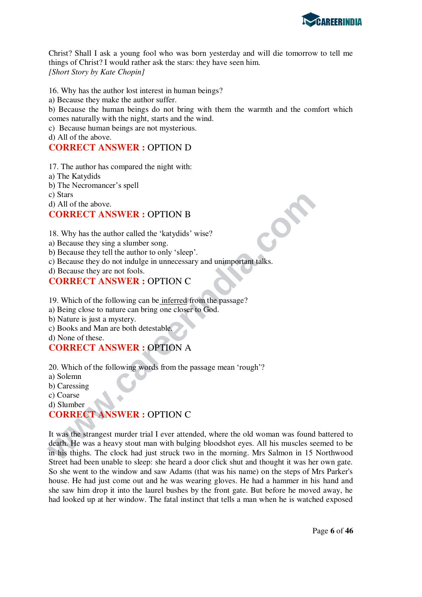

Christ? Shall I ask a young fool who was born yesterday and will die tomorrow to tell me things of Christ? I would rather ask the stars: they have seen him. *[Short Story by Kate Chopin]* 

16. Why has the author lost interest in human beings?

a) Because they make the author suffer.

b) Because the human beings do not bring with them the warmth and the comfort which comes naturally with the night, starts and the wind.

c) Because human beings are not mysterious.

d) All of the above.

## **CORRECT ANSWER :** OPTION D

17. The author has compared the night with:

- a) The Katydids
- b) The Necromancer's spell

c) Stars

d) All of the above.

#### **CORRECT ANSWER :** OPTION B

18. Why has the author called the 'katydids' wise?

a) Because they sing a slumber song.

b) Because they tell the author to only 'sleep'.

c) Because they do not indulge in unnecessary and unimportant talks.

d) Because they are not fools.

#### **CORRECT ANSWER :** OPTION C

19. Which of the following can be inferred from the passage?

a) Being close to nature can bring one closer to God.

b) Nature is just a mystery.

c) Books and Man are both detestable.

d) None of these.

#### **CORRECT ANSWER :** OPTION A

20. Which of the following words from the passage mean 'rough'?

a) Solemn

b) Caressing

c) Coarse

d) Slumber

## **CORRECT ANSWER :** OPTION C

**c)** Stars the above that a both control B and the series of the scheme of the scheme of the scheme of the series of a because they sing a slumber song.<br> **w** and Because they sing a slumber song.<br> **w** because they star the It was the strangest murder trial I ever attended, where the old woman was found battered to death. He was a heavy stout man with bulging bloodshot eyes. All his muscles seemed to be in his thighs. The clock had just struck two in the morning. Mrs Salmon in 15 Northwood Street had been unable to sleep: she heard a door click shut and thought it was her own gate. So she went to the window and saw Adams (that was his name) on the steps of Mrs Parker's house. He had just come out and he was wearing gloves. He had a hammer in his hand and she saw him drop it into the laurel bushes by the front gate. But before he moved away, he had looked up at her window. The fatal instinct that tells a man when he is watched exposed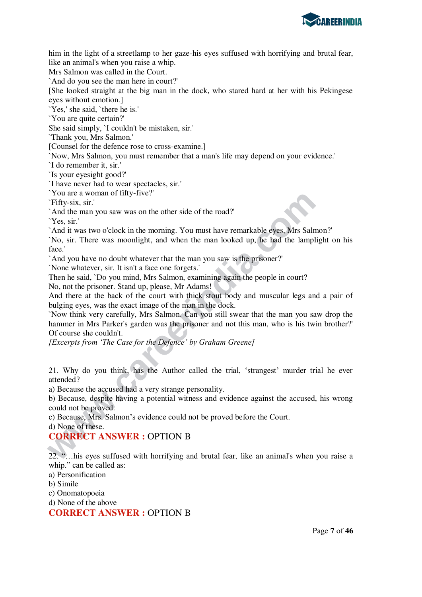

him in the light of a streetlamp to her gaze-his eyes suffused with horrifying and brutal fear, like an animal's when you raise a whip.

Mrs Salmon was called in the Court.

`And do you see the man here in court?'

[She looked straight at the big man in the dock, who stared hard at her with his Pekingese eyes without emotion.]

`Yes,' she said, `there he is.'

`You are quite certain?'

She said simply, `I couldn't be mistaken, sir.'

`Thank you, Mrs Salmon.'

[Counsel for the defence rose to cross-examine.]

`Now, Mrs Salmon, you must remember that a man's life may depend on your evidence.'

`I do remember it, sir.'

`Is your eyesight good?'

`I have never had to wear spectacles, sir.'

`You are a woman of fifty-five?'

`Fifty-six, sir.'

`And the man you saw was on the other side of the road?'

`Yes, sir.'

`And it was two o'clock in the morning. You must have remarkable eyes, Mrs Salmon?'

`No, sir. There was moonlight, and when the man looked up, he had the lamplight on his face.'

`And you have no doubt whatever that the man you saw is the prisoner?'

`None whatever, sir. It isn't a face one forgets.'

Then he said, `Do you mind, Mrs Salmon, examining again the people in court?

No, not the prisoner. Stand up, please, Mr Adams!

And there at the back of the court with thick stout body and muscular legs and a pair of bulging eyes, was the exact image of the man in the dock.

Total at the many saw was on the other side of the road?<br>
Yen'ty-six, sir.'<br>
Yen'ty-six, sir.'<br>
Yen'ty-six, sir.'<br>
Yen'ty-six, sir.'<br>
Yen'ty-six, sir.'<br>
Not divus two o'clock in the morning. You must have remarkable eyes, `Now think very carefully, Mrs Salmon. Can you still swear that the man you saw drop the hammer in Mrs Parker's garden was the prisoner and not this man, who is his twin brother?' Of course she couldn't.

*[Excerpts from "The Case for the Defence" by Graham Greene]*

21. Why do you think, has the Author called the trial, 'strangest' murder trial he ever attended?

a) Because the accused had a very strange personality.

b) Because, despite having a potential witness and evidence against the accused, his wrong could not be proved.

c) Because, Mrs. Salmon's evidence could not be proved before the Court.

d) None of these.

#### **CORRECT ANSWER :** OPTION B

22. "...his eyes suffused with horrifying and brutal fear, like an animal's when you raise a whip." can be called as:

a) Personification

b) Simile

c) Onomatopoeia

d) None of the above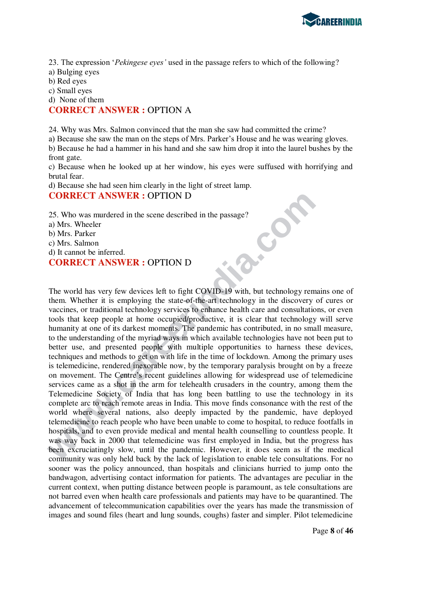

23. The expression ‗*Pekingese eyes"* used in the passage refers to which of the following? a) Bulging eyes

b) Red eyes

c) Small eyes

d) None of them

## **CORRECT ANSWER :** OPTION A

24. Why was Mrs. Salmon convinced that the man she saw had committed the crime?

a) Because she saw the man on the steps of Mrs. Parker's House and he was wearing gloves.

b) Because he had a hammer in his hand and she saw him drop it into the laurel bushes by the front gate.

c) Because when he looked up at her window, his eyes were suffused with horrifying and brutal fear.

d) Because she had seen him clearly in the light of street lamp. **CORRECT ANSWER :** OPTION D

25. Who was murdered in the scene described in the passage?

a) Mrs. Wheeler

b) Mrs. Parker

- c) Mrs. Salmon
- d) It cannot be inferred.

**CORRECT ANSWER :** OPTION D

**CORRECT ANSWER :** OPTION D<br>
25. Who was murdered in the scene described in the passage?<br>
26. Who was murdered in the scene described in the passage?<br>
b) Mrs. Shamon<br>
c) IV. The World has very few devices left to fight COV The world has very few devices left to fight COVID-19 with, but technology remains one of them. Whether it is employing the state-of-the-art technology in the discovery of cures or vaccines, or traditional technology services to enhance health care and consultations, or even tools that keep people at home occupied/productive, it is clear that technology will serve humanity at one of its darkest moments. The pandemic has contributed, in no small measure, to the understanding of the myriad ways in which available technologies have not been put to better use, and presented people with multiple opportunities to harness these devices, techniques and methods to get on with life in the time of lockdown. Among the primary uses is telemedicine, rendered inexorable now, by the temporary paralysis brought on by a freeze on movement. The Centre's recent guidelines allowing for widespread use of telemedicine services came as a shot in the arm for telehealth crusaders in the country, among them the Telemedicine Society of India that has long been battling to use the technology in its complete arc to reach remote areas in India. This move finds consonance with the rest of the world where several nations, also deeply impacted by the pandemic, have deployed telemedicine to reach people who have been unable to come to hospital, to reduce footfalls in hospitals, and to even provide medical and mental health counselling to countless people. It was way back in 2000 that telemedicine was first employed in India, but the progress has been excruciatingly slow, until the pandemic. However, it does seem as if the medical community was only held back by the lack of legislation to enable tele consultations. For no sooner was the policy announced, than hospitals and clinicians hurried to jump onto the bandwagon, advertising contact information for patients. The advantages are peculiar in the current context, when putting distance between people is paramount, as tele consultations are not barred even when health care professionals and patients may have to be quarantined. The advancement of telecommunication capabilities over the years has made the transmission of images and sound files (heart and lung sounds, coughs) faster and simpler. Pilot telemedicine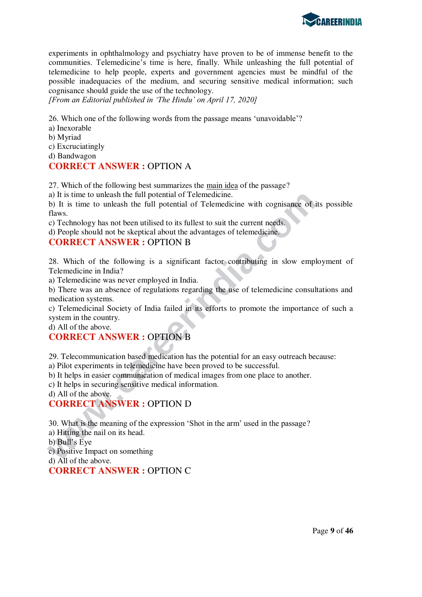

experiments in ophthalmology and psychiatry have proven to be of immense benefit to the communities. Telemedicine's time is here, finally. While unleashing the full potential of telemedicine to help people, experts and government agencies must be mindful of the possible inadequacies of the medium, and securing sensitive medical information; such cognisance should guide the use of the technology.

*[From an Editorial published in "The Hindu" on April 17, 2020]*

26. Which one of the following words from the passage means 'unavoidable'?

a) Inexorable

b) Myriad

c) Excruciatingly

d) Bandwagon

#### **CORRECT ANSWER :** OPTION A

27. Which of the following best summarizes the main idea of the passage?

a) It is time to unleash the full potential of Telemedicine.

b) It is time to unleash the full potential of Telemedicine with cognisance of its possible flaws.

c) Technology has not been utilised to its fullest to suit the current needs.

d) People should not be skeptical about the advantages of telemedicine.

**CORRECT ANSWER :** OPTION B

2) It is time to unleash the full potential of Telemedicine.<br>
b) It is time to unleash the full potential of Telemedicine with cognisance of its<br>
flaws.<br>
c) Technology has not been utilised to its fullest to still the curr 28. Which of the following is a significant factor contributing in slow employment of Telemedicine in India?

a) Telemedicine was never employed in India.

b) There was an absence of regulations regarding the use of telemedicine consultations and medication systems.

c) Telemedicinal Society of India failed in its efforts to promote the importance of such a system in the country.

d) All of the above.

## **CORRECT ANSWER :** OPTION B

29. Telecommunication based medication has the potential for an easy outreach because:

a) Pilot experiments in telemedicine have been proved to be successful.

b) It helps in easier communication of medical images from one place to another.

c) It helps in securing sensitive medical information.

d) All of the above.

**CORRECT ANSWER :** OPTION D

30. What is the meaning of the expression 'Shot in the arm' used in the passage?

a) Hitting the nail on its head.

b) Bull's Eye

c) Positive Impact on something

d) All of the above.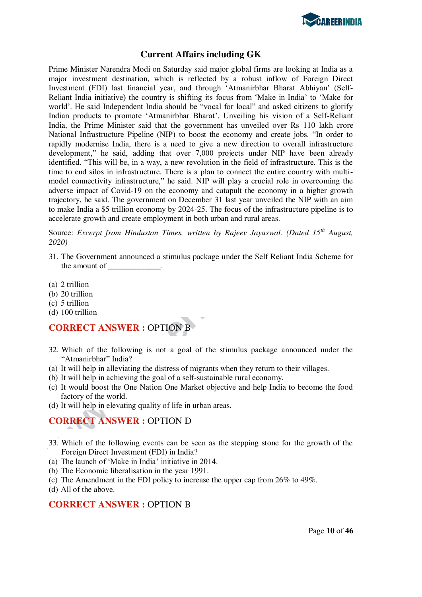

## **Current Affairs including GK**

**was the solution of the solution of the solution of the set of the state late of the solution and real accelerate growth ad create employment in both urban ad rural areas.<br>
Source:** *Excerpt from Hindustan Times, written b* Prime Minister Narendra Modi on Saturday said major global firms are looking at India as a major investment destination, which is reflected by a robust inflow of Foreign Direct Investment (FDI) last financial year, and through ‗Atmanirbhar Bharat Abhiyan' (Self-Reliant India initiative) the country is shifting its focus from 'Make in India' to 'Make for world'. He said Independent India should be "vocal for local" and asked citizens to glorify Indian products to promote ‗Atmanirbhar Bharat'. Unveiling his vision of a Self-Reliant India, the Prime Minister said that the government has unveiled over Rs 110 lakh crore National Infrastructure Pipeline (NIP) to boost the economy and create jobs. "In order to rapidly modernise India, there is a need to give a new direction to overall infrastructure development," he said, adding that over 7,000 projects under NIP have been already identified. "This will be, in a way, a new revolution in the field of infrastructure. This is the time to end silos in infrastructure. There is a plan to connect the entire country with multimodel connectivity infrastructure," he said. NIP will play a crucial role in overcoming the adverse impact of Covid-19 on the economy and catapult the economy in a higher growth trajectory, he said. The government on December 31 last year unveiled the NIP with an aim to make India a \$5 trillion economy by 2024-25. The focus of the infrastructure pipeline is to accelerate growth and create employment in both urban and rural areas.

Source: *Excerpt from Hindustan Times, written by Rajeev Jayaswal. (Dated 15th August, 2020)* 

- 31. The Government announced a stimulus package under the Self Reliant India Scheme for the amount of the second second second second second second second second second second second second second second second second second second second second second second second second second second second second second s
- (a) 2 trillion
- (b) 20 trillion
- (c) 5 trillion
- (d) 100 trillion

## **CORRECT ANSWER :** OPTION B

- 32. Which of the following is not a goal of the stimulus package announced under the "Atmanirbhar" India?
- (a) It will help in alleviating the distress of migrants when they return to their villages.
- (b) It will help in achieving the goal of a self-sustainable rural economy.
- (c) It would boost the One Nation One Market objective and help India to become the food factory of the world.
- (d) It will help in elevating quality of life in urban areas.

## **CORRECT ANSWER :** OPTION D

- 33. Which of the following events can be seen as the stepping stone for the growth of the Foreign Direct Investment (FDI) in India?
- (a) The launch of 'Make in India' initiative in 2014.
- (b) The Economic liberalisation in the year 1991.
- (c) The Amendment in the FDI policy to increase the upper cap from 26% to 49%.
- (d) All of the above.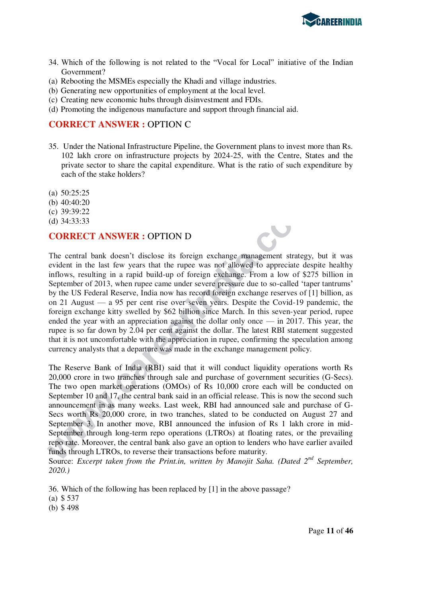

- 34. Which of the following is not related to the "Vocal for Local" initiative of the Indian Government?
- (a) Rebooting the MSMEs especially the Khadi and village industries.
- (b) Generating new opportunities of employment at the local level.
- (c) Creating new economic hubs through disinvestment and FDIs.
- (d) Promoting the indigenous manufacture and support through financial aid.

#### **CORRECT ANSWER :** OPTION C

- 35. Under the National Infrastructure Pipeline, the Government plans to invest more than Rs. 102 lakh crore on infrastructure projects by 2024-25, with the Centre, States and the private sector to share the capital expenditure. What is the ratio of such expenditure by each of the stake holders?
- (a) 50:25:25
- (b) 40:40:20
- (c) 39:39:22
- (d) 34:33:33

#### **CORRECT ANSWER :** OPTION D



(a) 30:22:22<br>
(b) 40:44:220<br>
(c) 39:39:22<br>
(d) 34:33:33<br>
(d) 34:33:33<br>
(d) 34:33:33<br>
(d) 40:44:20<br>
(e) 39:39:22<br>
(c) 39:39:22<br>
evident in the last few years that the rupee was not allowed to appreciate despite<br>
inflows, r The central bank doesn't disclose its foreign exchange management strategy, but it was evident in the last few years that the rupee was not allowed to appreciate despite healthy inflows, resulting in a rapid build-up of foreign exchange. From a low of \$275 billion in September of 2013, when rupee came under severe pressure due to so-called 'taper tantrums' by the US Federal Reserve, India now has record foreign exchange reserves of [1] billion, as on 21 August — a 95 per cent rise over seven years. Despite the Covid-19 pandemic, the foreign exchange kitty swelled by \$62 billion since March. In this seven-year period, rupee ended the year with an appreciation against the dollar only once — in 2017. This year, the rupee is so far down by 2.04 per cent against the dollar. The latest RBI statement suggested that it is not uncomfortable with the appreciation in rupee, confirming the speculation among currency analysts that a departure was made in the exchange management policy.

The Reserve Bank of India (RBI) said that it will conduct liquidity operations worth Rs 20,000 crore in two tranches through sale and purchase of government securities (G-Secs). The two open market operations (OMOs) of Rs 10,000 crore each will be conducted on September 10 and 17, the central bank said in an official release. This is now the second such announcement in as many weeks. Last week, RBI had announced sale and purchase of G-Secs worth Rs 20,000 crore, in two tranches, slated to be conducted on August 27 and September 3. In another move, RBI announced the infusion of Rs 1 lakh crore in mid-September through long-term repo operations (LTROs) at floating rates, or the prevailing repo rate. Moreover, the central bank also gave an option to lenders who have earlier availed funds through LTROs, to reverse their transactions before maturity.

Source: *Excerpt taken from the Print.in, written by Manojit Saha. (Dated 2<sup>nd</sup> September, 2020.)* 

36. Which of the following has been replaced by [1] in the above passage?

(a) \$ 537

(b) \$ 498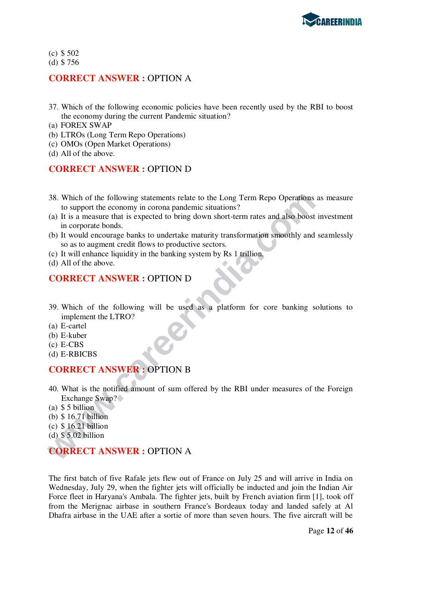

(c) \$ 502

(d) \$ 756

## **CORRECT ANSWER :** OPTION A

- 37. Which of the following economic policies have been recently used by the RBI to boost the economy during the current Pandemic situation?
- (a) FOREX SWAP
- (b) LTROs (Long Term Repo Operations)
- (c) OMOs (Open Market Operations)
- (d) All of the above.

## **CORRECT ANSWER :** OPTION D

- 38. Which of the following statements relate to the Long Term Repo Operations as measure to support the economy in corona pandemic situations?
- (a) It is a measure that is expected to bring down short-term rates and also boost investment in corporate bonds.
- (b) It would encourage banks to undertake maturity transformation smoothly and seamlessly so as to augment credit flows to productive sectors.
- (c) It will enhance liquidity in the banking system by Rs 1 trillion.
- (d) All of the above.

## **CORRECT ANSWER :** OPTION D

- 38. Which of the following statements relate to the Long Term Repo Operations as<br>
to support the economy in corona pandemic situations?<br>
(a) It is a measure that is expected to bring down short-term rates and also boost in 39. Which of the following will be used as a platform for core banking solutions to implement the LTRO?
- (a) E-cartel
- (b) E-kuber
- (c) E-CBS
- (d) E-RBICBS

## **CORRECT ANSWER :** OPTION B

- 40. What is the notified amount of sum offered by the RBI under measures of the Foreign Exchange Swap?
- (a) \$ 5 billion
- (b) \$ 16.71 billion
- (c) \$ 16.21 billion
- (d) \$ 5.02 billion

## **CORRECT ANSWER :** OPTION A

The first batch of five Rafale jets flew out of France on July 25 and will arrive in India on Wednesday, July 29, when the fighter jets will officially be inducted and join the Indian Air Force fleet in Haryana's Ambala. The fighter jets, built by French aviation firm [1], took off from the Merignac airbase in southern France's Bordeaux today and landed safely at Al Dhafra airbase in the UAE after a sortie of more than seven hours. The five aircraft will be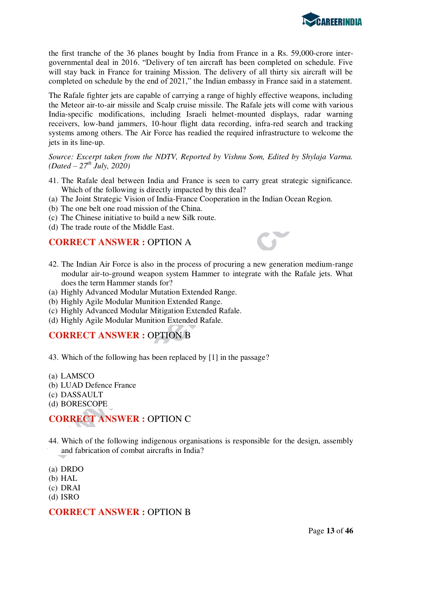

the first tranche of the 36 planes bought by India from France in a Rs. 59,000-crore intergovernmental deal in 2016. "Delivery of ten aircraft has been completed on schedule. Five will stay back in France for training Mission. The delivery of all thirty six aircraft will be completed on schedule by the end of 2021," the Indian embassy in France said in a statement.

The Rafale fighter jets are capable of carrying a range of highly effective weapons, including the Meteor air-to-air missile and Scalp cruise missile. The Rafale jets will come with various India-specific modifications, including Israeli helmet-mounted displays, radar warning receivers, low-band jammers, 10-hour flight data recording, infra-red search and tracking systems among others. The Air Force has readied the required infrastructure to welcome the jets in its line-up.

*Source: Excerpt taken from the NDTV, Reported by Vishnu Som, Edited by Shylaja Varma. (Dated – 27th July, 2020)* 

- 41. The Rafale deal between India and France is seen to carry great strategic significance. Which of the following is directly impacted by this deal?
- (a) The Joint Strategic Vision of India-France Cooperation in the Indian Ocean Region.
- (b) The one belt one road mission of the China.
- (c) The Chinese initiative to build a new Silk route.
- (d) The trade route of the Middle East.

#### **CORRECT ANSWER :** OPTION A



- (a) The Joint Strategic Vision of India-France Cooperation in the Indian Ocean Regio<br>
(b) The one belt one road mission of the China.<br>
(c) The Chinese initiative to build a new Silk route.<br>
(d) The trade route of the Middl 42. The Indian Air Force is also in the process of procuring a new generation medium-range modular air-to-ground weapon system Hammer to integrate with the Rafale jets. What does the term Hammer stands for?
- (a) Highly Advanced Modular Mutation Extended Range.
- (b) Highly Agile Modular Munition Extended Range.
- (c) Highly Advanced Modular Mitigation Extended Rafale.
- (d) Highly Agile Modular Munition Extended Rafale.

## **CORRECT ANSWER :** OPTION B

- 43. Which of the following has been replaced by [1] in the passage?
- (a) LAMSCO
- (b) LUAD Defence France
- (c) DASSAULT
- (d) BORESCOPE

## **CORRECT ANSWER :** OPTION C

- 44. Which of the following indigenous organisations is responsible for the design, assembly and fabrication of combat aircrafts in India?
- (a) DRDO
- (b) HAL
- (c) DRAI
- (d) ISRO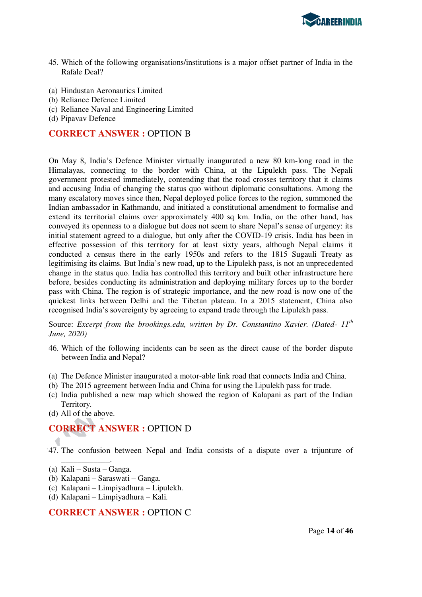

- 45. Which of the following organisations/institutions is a major offset partner of India in the Rafale Deal?
- (a) Hindustan Aeronautics Limited
- (b) Reliance Defence Limited
- (c) Reliance Naval and Engineering Limited
- (d) Pipavav Defence

## **CORRECT ANSWER :** OPTION B

many escalatory moves since then, Nepal deployed police forces to the region, summa India.<br>India ambassador in Kathmandu, and initiated a constitutional amendment to format<br>extend its territorial claims over approximately On May 8, India's Defence Minister virtually inaugurated a new 80 km-long road in the Himalayas, connecting to the border with China, at the Lipulekh pass. The Nepali government protested immediately, contending that the road crosses territory that it claims and accusing India of changing the status quo without diplomatic consultations. Among the many escalatory moves since then, Nepal deployed police forces to the region, summoned the Indian ambassador in Kathmandu, and initiated a constitutional amendment to formalise and extend its territorial claims over approximately 400 sq km. India, on the other hand, has conveyed its openness to a dialogue but does not seem to share Nepal's sense of urgency: its initial statement agreed to a dialogue, but only after the COVID-19 crisis. India has been in effective possession of this territory for at least sixty years, although Nepal claims it conducted a census there in the early 1950s and refers to the 1815 Sugauli Treaty as legitimising its claims. But India's new road, up to the Lipulekh pass, is not an unprecedented change in the status quo. India has controlled this territory and built other infrastructure here before, besides conducting its administration and deploying military forces up to the border pass with China. The region is of strategic importance, and the new road is now one of the quickest links between Delhi and the Tibetan plateau. In a 2015 statement, China also recognised India's sovereignty by agreeing to expand trade through the Lipulekh pass.

Source: *Excerpt from the brookings.edu, written by Dr. Constantino Xavier. (Dated- 11th June, 2020)* 

- 46. Which of the following incidents can be seen as the direct cause of the border dispute between India and Nepal?
- (a) The Defence Minister inaugurated a motor-able link road that connects India and China.
- (b) The 2015 agreement between India and China for using the Lipulekh pass for trade.
- (c) India published a new map which showed the region of Kalapani as part of the Indian Territory.
- (d) All of the above.

## **CORRECT ANSWER :** OPTION D

- 47. The confusion between Nepal and India consists of a dispute over a trijunture of
- \_\_\_\_\_\_\_\_\_\_\_\_. (a) Kali – Susta – Ganga.
- (b) Kalapani Saraswati Ganga.
- (c) Kalapani Limpiyadhura Lipulekh.
- (d) Kalapani Limpiyadhura Kali.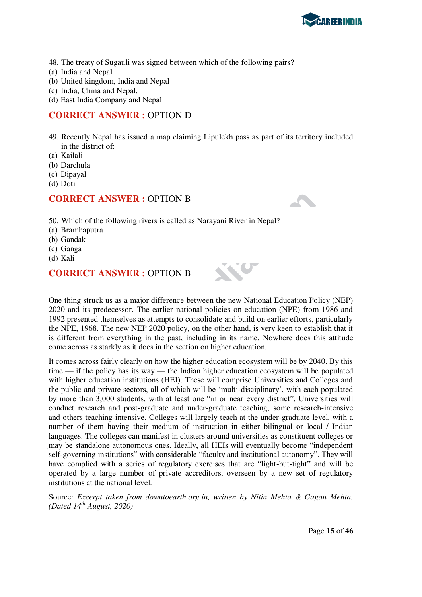

- 48. The treaty of Sugauli was signed between which of the following pairs?
- (a) India and Nepal
- (b) United kingdom, India and Nepal
- (c) India, China and Nepal.
- (d) East India Company and Nepal

## **CORRECT ANSWER :** OPTION D

- 49. Recently Nepal has issued a map claiming Lipulekh pass as part of its territory included in the district of:
- (a) Kailali
- (b) Darchula
- (c) Dipayal
- (d) Doti

#### **CORRECT ANSWER :** OPTION B



- 50. Which of the following rivers is called as Narayani River in Nepal?
- (a) Bramhaputra
- (b) Gandak
- (c) Ganga
- (d) Kali

## **CORRECT ANSWER :** OPTION B



One thing struck us as a major difference between the new National Education Policy (NEP) 2020 and its predecessor. The earlier national policies on education (NPE) from 1986 and 1992 presented themselves as attempts to consolidate and build on earlier efforts, particularly the NPE, 1968. The new NEP 2020 policy, on the other hand, is very keen to establish that it is different from everything in the past, including in its name. Nowhere does this attitude come across as starkly as it does in the section on higher education.

**CORRECT ANSWER : OPTION B**<br>
50. Which of the following rivers is called as Narayani River in Nepal?<br>
(a) Bramhaputra<br>
(b) Gandak<br>
(c) Ganga<br>
(d) Kali<br>
(c) Gandak<br>
(d) Gandak<br>
(d) Gandak<br>
(d) Gandak<br>
(d) Ganda<br>
(d) Kali<br> It comes across fairly clearly on how the higher education ecosystem will be by 2040. By this time — if the policy has its way — the Indian higher education ecosystem will be populated with higher education institutions (HEI). These will comprise Universities and Colleges and the public and private sectors, all of which will be 'multi-disciplinary', with each populated by more than 3,000 students, with at least one "in or near every district". Universities will conduct research and post-graduate and under-graduate teaching, some research-intensive and others teaching-intensive. Colleges will largely teach at the under-graduate level, with a number of them having their medium of instruction in either bilingual or local / Indian languages. The colleges can manifest in clusters around universities as constituent colleges or may be standalone autonomous ones. Ideally, all HEIs will eventually become "independent" self-governing institutions" with considerable "faculty and institutional autonomy". They will have complied with a series of regulatory exercises that are "light-but-tight" and will be operated by a large number of private accreditors, overseen by a new set of regulatory institutions at the national level.

Source: *Excerpt taken from downtoearth.org.in, written by Nitin Mehta & Gagan Mehta. (Dated 14th August, 2020)*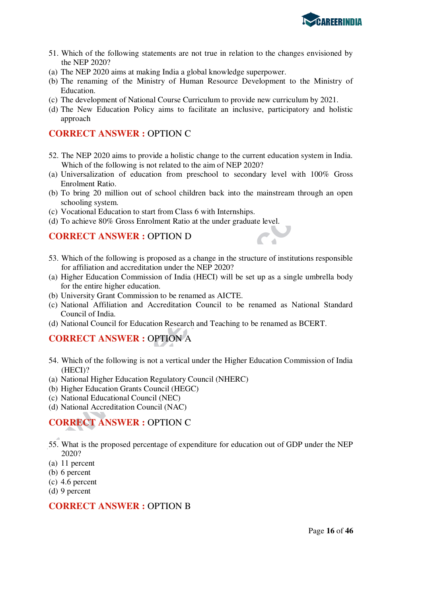

- 51. Which of the following statements are not true in relation to the changes envisioned by the NEP 2020?
- (a) The NEP 2020 aims at making India a global knowledge superpower.
- (b) The renaming of the Ministry of Human Resource Development to the Ministry of Education.
- (c) The development of National Course Curriculum to provide new curriculum by 2021.
- (d) The New Education Policy aims to facilitate an inclusive, participatory and holistic approach

## **CORRECT ANSWER :** OPTION C

- 52. The NEP 2020 aims to provide a holistic change to the current education system in India. Which of the following is not related to the aim of NEP 2020?
- (a) Universalization of education from preschool to secondary level with 100% Gross Enrolment Ratio.
- (b) To bring 20 million out of school children back into the mainstream through an open schooling system.
- (c) Vocational Education to start from Class 6 with Internships.
- (d) To achieve 80% Gross Enrolment Ratio at the under graduate level.

## **CORRECT ANSWER :** OPTION D

- (b) To thing 20 minion of the school emident back into the mainstream intough<br>
(c) Vocational Education to start from Class 6 with Internships.<br>
(d) To achieve 80% Gross Enrolment Ratio at the under graduate level.<br> **CORRE** 53. Which of the following is proposed as a change in the structure of institutions responsible for affiliation and accreditation under the NEP 2020?
- (a) Higher Education Commission of India (HECI) will be set up as a single umbrella body for the entire higher education.
- (b) University Grant Commission to be renamed as AICTE.
- (c) National Affiliation and Accreditation Council to be renamed as National Standard Council of India.
- (d) National Council for Education Research and Teaching to be renamed as BCERT.

# **CORRECT ANSWER :** OPTION A

- 54. Which of the following is not a vertical under the Higher Education Commission of India (HECI)?
- (a) National Higher Education Regulatory Council (NHERC)
- (b) Higher Education Grants Council (HEGC)
- (c) National Educational Council (NEC)
- (d) National Accreditation Council (NAC)

# **CORRECT ANSWER :** OPTION C

- 55. What is the proposed percentage of expenditure for education out of GDP under the NEP 2020?
- (a) 11 percent
- (b) 6 percent
- (c) 4.6 percent
- (d) 9 percent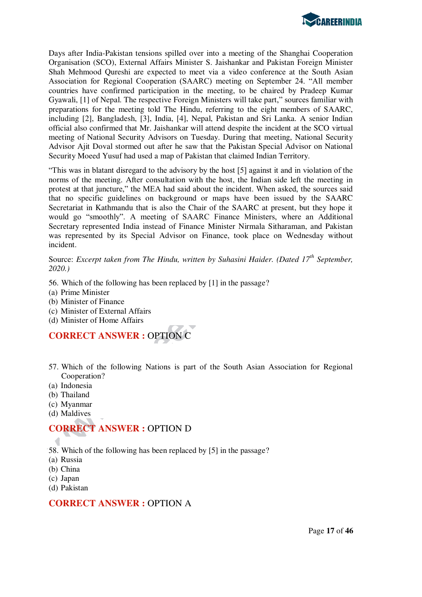

Days after India-Pakistan tensions spilled over into a meeting of the Shanghai Cooperation Organisation (SCO), External Affairs Minister S. Jaishankar and Pakistan Foreign Minister Shah Mehmood Qureshi are expected to meet via a video conference at the South Asian Association for Regional Cooperation (SAARC) meeting on September 24. "All member countries have confirmed participation in the meeting, to be chaired by Pradeep Kumar Gyawali, [1] of Nepal. The respective Foreign Ministers will take part," sources familiar with preparations for the meeting told The Hindu, referring to the eight members of SAARC, including [2], Bangladesh, [3], India, [4], Nepal, Pakistan and Sri Lanka. A senior Indian official also confirmed that Mr. Jaishankar will attend despite the incident at the SCO virtual meeting of National Security Advisors on Tuesday. During that meeting, National Security Advisor Ajit Doval stormed out after he saw that the Pakistan Special Advisor on National Security Moeed Yusuf had used a map of Pakistan that claimed Indian Territory.

that no specific guidelines on background or maps have been issued by the :<br>Secretaria in Kathmandu that is also the Chiar of the SAARC at present, but they<br>would go "smoothly". A meeting of SAARC Finance Ministers, where ―This was in blatant disregard to the advisory by the host [5] against it and in violation of the norms of the meeting. After consultation with the host, the Indian side left the meeting in protest at that juncture," the MEA had said about the incident. When asked, the sources said that no specific guidelines on background or maps have been issued by the SAARC Secretariat in Kathmandu that is also the Chair of the SAARC at present, but they hope it would go "smoothly". A meeting of SAARC Finance Ministers, where an Additional Secretary represented India instead of Finance Minister Nirmala Sitharaman, and Pakistan was represented by its Special Advisor on Finance, took place on Wednesday without incident.

#### Source: *Excerpt taken from The Hindu, written by Suhasini Haider. (Dated 17th September, 2020.)*

- 56. Which of the following has been replaced by [1] in the passage?
- (a) Prime Minister
- (b) Minister of Finance
- (c) Minister of External Affairs
- (d) Minister of Home Affairs

# **CORRECT ANSWER :** OPTION C

- 57. Which of the following Nations is part of the South Asian Association for Regional Cooperation?
- (a) Indonesia
- (b) Thailand
- (c) Myanmar
- (d) Maldives

## **CORRECT ANSWER :** OPTION D

- 58. Which of the following has been replaced by [5] in the passage?
- (a) Russia
- (b) China
- (c) Japan
- (d) Pakistan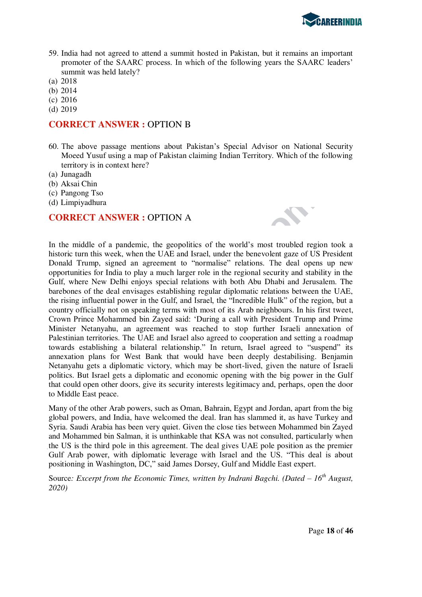

- 59. India had not agreed to attend a summit hosted in Pakistan, but it remains an important promoter of the SAARC process. In which of the following years the SAARC leaders' summit was held lately?
- (a) 2018
- (b) 2014
- (c) 2016
- (d) 2019

#### **CORRECT ANSWER :** OPTION B

- 60. The above passage mentions about Pakistan's Special Advisor on National Security Moeed Yusuf using a map of Pakistan claiming Indian Territory. Which of the following territory is in context here?
- (a) Junagadh
- (b) Aksai Chin
- (c) Pangong Tso
- (d) Limpiyadhura

#### **CORRECT ANSWER :** OPTION A



(c) rangong isol<br>
(c) Limpiyadhura<br>
(c) Limpiyadhura<br>
(c) Limpiyadhura<br>
In the middle of a pandemic, the geopolitics of the world's most troubled region<br>
historic turn this week, when he UAE and Israel, under the hencevole In the middle of a pandemic, the geopolitics of the world's most troubled region took a historic turn this week, when the UAE and Israel, under the benevolent gaze of US President Donald Trump, signed an agreement to "normalise" relations. The deal opens up new opportunities for India to play a much larger role in the regional security and stability in the Gulf, where New Delhi enjoys special relations with both Abu Dhabi and Jerusalem. The barebones of the deal envisages establishing regular diplomatic relations between the UAE, the rising influential power in the Gulf, and Israel, the "Incredible Hulk" of the region, but a country officially not on speaking terms with most of its Arab neighbours. In his first tweet, Crown Prince Mohammed bin Zayed said: ‗During a call with President Trump and Prime Minister Netanyahu, an agreement was reached to stop further Israeli annexation of Palestinian territories. The UAE and Israel also agreed to cooperation and setting a roadmap towards establishing a bilateral relationship." In return, Israel agreed to "suspend" its annexation plans for West Bank that would have been deeply destabilising. Benjamin Netanyahu gets a diplomatic victory, which may be short-lived, given the nature of Israeli politics. But Israel gets a diplomatic and economic opening with the big power in the Gulf that could open other doors, give its security interests legitimacy and, perhaps, open the door to Middle East peace.

Many of the other Arab powers, such as Oman, Bahrain, Egypt and Jordan, apart from the big global powers, and India, have welcomed the deal. Iran has slammed it, as have Turkey and Syria. Saudi Arabia has been very quiet. Given the close ties between Mohammed bin Zayed and Mohammed bin Salman, it is unthinkable that KSA was not consulted, particularly when the US is the third pole in this agreement. The deal gives UAE pole position as the premier Gulf Arab power, with diplomatic leverage with Israel and the US. "This deal is about positioning in Washington, DC," said James Dorsey, Gulf and Middle East expert.

Source: *Excerpt from the Economic Times, written by Indrani Bagchi. (Dated –*  $16^{th}$  *August, 2020)*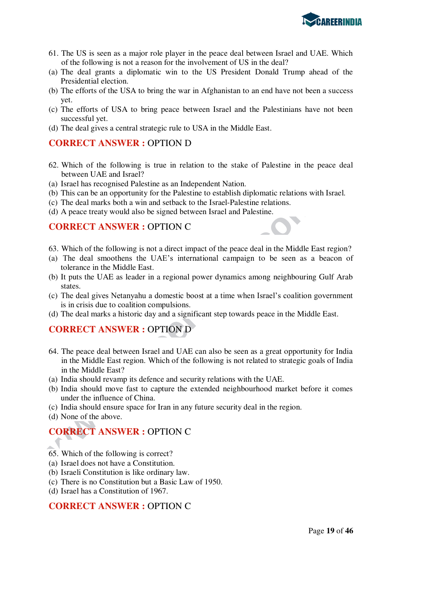

- 61. The US is seen as a major role player in the peace deal between Israel and UAE. Which of the following is not a reason for the involvement of US in the deal?
- (a) The deal grants a diplomatic win to the US President Donald Trump ahead of the Presidential election.
- (b) The efforts of the USA to bring the war in Afghanistan to an end have not been a success yet.
- (c) The efforts of USA to bring peace between Israel and the Palestinians have not been successful yet.
- (d) The deal gives a central strategic rule to USA in the Middle East.

## **CORRECT ANSWER :** OPTION D

- 62. Which of the following is true in relation to the stake of Palestine in the peace deal between UAE and Israel?
- (a) Israel has recognised Palestine as an Independent Nation.
- (b) This can be an opportunity for the Palestine to establish diplomatic relations with Israel.
- (c) The deal marks both a win and setback to the Israel-Palestine relations.

(d) A peace treaty would also be signed between Israel and Palestine.

#### **CORRECT ANSWER :** OPTION C

- 63. Which of the following is not a direct impact of the peace deal in the Middle East region?
- (a) The deal smoothens the UAE's international campaign to be seen as a beacon of tolerance in the Middle East.
- (b) It puts the UAE as leader in a regional power dynamics among neighbouring Gulf Arab states.
- (c) The deal gives Netanyahu a domestic boost at a time when Israel's coalition government is in crisis due to coalition compulsions.
- (d) The deal marks a historic day and a significant step towards peace in the Middle East.

## **CORRECT ANSWER :** OPTION D

- (b) This can be a poportunity of the Praesine to establish appointment enautors with<br>
(c) The deal marks both a win and sethack to the Israel-Palestine relations.<br>
(d) A peace treaty would also be signed between Israel and 64. The peace deal between Israel and UAE can also be seen as a great opportunity for India in the Middle East region. Which of the following is not related to strategic goals of India in the Middle East?
- (a) India should revamp its defence and security relations with the UAE.
- (b) India should move fast to capture the extended neighbourhood market before it comes under the influence of China.
- (c) India should ensure space for Iran in any future security deal in the region.
- (d) None of the above.

# **CORRECT ANSWER :** OPTION C

- 65. Which of the following is correct?
- (a) Israel does not have a Constitution.
- (b) Israeli Constitution is like ordinary law.
- (c) There is no Constitution but a Basic Law of 1950.
- (d) Israel has a Constitution of 1967.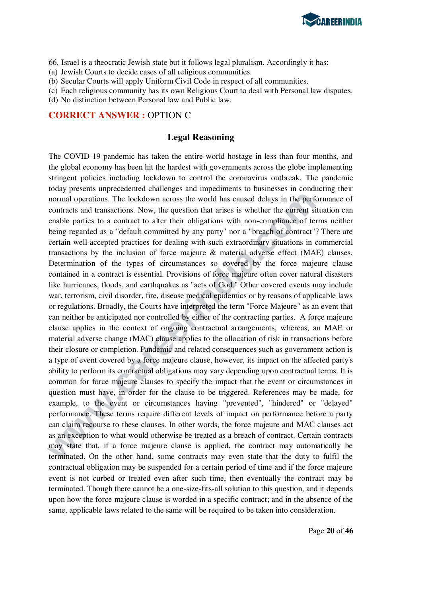

66. Israel is a theocratic Jewish state but it follows legal pluralism. Accordingly it has:

- (a) Jewish Courts to decide cases of all religious communities.
- (b) Secular Courts will apply Uniform Civil Code in respect of all communities.
- (c) Each religious community has its own Religious Court to deal with Personal law disputes.
- (d) No distinction between Personal law and Public law.

#### **CORRECT ANSWER :** OPTION C

## **Legal Reasoning**

normal operations. The lockdown across the world has caused delays in the perform<br>contracts and transactions. Now, the question that arises is whether the cūrent situat<br>endate particle of a contract to alter their obligati The COVID-19 pandemic has taken the entire world hostage in less than four months, and the global economy has been hit the hardest with governments across the globe implementing stringent policies including lockdown to control the coronavirus outbreak. The pandemic today presents unprecedented challenges and impediments to businesses in conducting their normal operations. The lockdown across the world has caused delays in the performance of contracts and transactions. Now, the question that arises is whether the current situation can enable parties to a contract to alter their obligations with non-compliance of terms neither being regarded as a "default committed by any party" nor a "breach of contract"? There are certain well-accepted practices for dealing with such extraordinary situations in commercial transactions by the inclusion of force majeure & material adverse effect (MAE) clauses. Determination of the types of circumstances so covered by the force majeure clause contained in a contract is essential. Provisions of force majeure often cover natural disasters like hurricanes, floods, and earthquakes as "acts of God." Other covered events may include war, terrorism, civil disorder, fire, disease medical epidemics or by reasons of applicable laws or regulations. Broadly, the Courts have interpreted the term "Force Majeure" as an event that can neither be anticipated nor controlled by either of the contracting parties. A force majeure clause applies in the context of ongoing contractual arrangements, whereas, an MAE or material adverse change (MAC) clause applies to the allocation of risk in transactions before their closure or completion. Pandemic and related consequences such as government action is a type of event covered by a force majeure clause, however, its impact on the affected party's ability to perform its contractual obligations may vary depending upon contractual terms. It is common for force majeure clauses to specify the impact that the event or circumstances in question must have, in order for the clause to be triggered. References may be made, for example, to the event or circumstances having "prevented", "hindered" or "delayed" performance. These terms require different levels of impact on performance before a party can claim recourse to these clauses. In other words, the force majeure and MAC clauses act as an exception to what would otherwise be treated as a breach of contract. Certain contracts may state that, if a force majeure clause is applied, the contract may automatically be terminated. On the other hand, some contracts may even state that the duty to fulfil the contractual obligation may be suspended for a certain period of time and if the force majeure event is not curbed or treated even after such time, then eventually the contract may be terminated. Though there cannot be a one-size-fits-all solution to this question, and it depends upon how the force majeure clause is worded in a specific contract; and in the absence of the same, applicable laws related to the same will be required to be taken into consideration.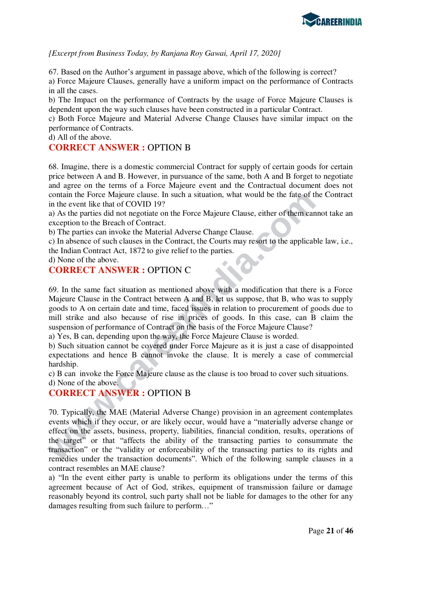

*[Excerpt from Business Today, by Ranjana Roy Gawai, April 17, 2020]* 

67. Based on the Author's argument in passage above, which of the following is correct?

a) Force Majeure Clauses, generally have a uniform impact on the performance of Contracts in all the cases.

b) The Impact on the performance of Contracts by the usage of Force Majeure Clauses is dependent upon the way such clauses have been constructed in a particular Contract.

c) Both Force Majeure and Material Adverse Change Clauses have similar impact on the performance of Contracts.

d) All of the above.

## **CORRECT ANSWER :** OPTION B

68. Imagine, there is a domestic commercial Contract for supply of certain goods for certain price between A and B. However, in pursuance of the same, both A and B forget to negotiate and agree on the terms of a Force Majeure event and the Contractual document does not contain the Force Majeure clause. In such a situation, what would be the fate of the Contract in the event like that of COVID 19?

a) As the parties did not negotiate on the Force Majeure Clause, either of them cannot take an exception to the Breach of Contract.

b) The parties can invoke the Material Adverse Change Clause.

c) In absence of such clauses in the Contract, the Courts may resort to the applicable law, i.e., the Indian Contract Act, 1872 to give relief to the parties.

d) None of the above.

## **CORRECT ANSWER :** OPTION C

69. In the same fact situation as mentioned above with a modification that there is a Force Majeure Clause in the Contract between A and B, let us suppose, that B, who was to supply goods to A on certain date and time, faced issues in relation to procurement of goods due to mill strike and also because of rise in prices of goods. In this case, can B claim the suspension of performance of Contract on the basis of the Force Majeure Clause?

a) Yes, B can, depending upon the way, the Force Majeure Clause is worded.

b) Such situation cannot be covered under Force Majeure as it is just a case of disappointed expectations and hence B cannot invoke the clause. It is merely a case of commercial hardship.

c) B can invoke the Force Majeure clause as the clause is too broad to cover such situations.

d) None of the above.

**CORRECT ANSWER :** OPTION B

contain the Force Magnete clause. In such a situation, what would be the tate of the three contains the Force Magnete clause. The same particle and the particle of Contract.<br>
in the event like that of COVID 19?<br>
a) As the 70. Typically, the MAE (Material Adverse Change) provision in an agreement contemplates events which if they occur, or are likely occur, would have a "materially adverse change or effect on the assets, business, property, liabilities, financial condition, results, operations of the target" or that "affects the ability of the transacting parties to consummate the transaction" or the "validity or enforceability of the transacting parties to its rights and remedies under the transaction documents". Which of the following sample clauses in a contract resembles an MAE clause?

a) "In the event either party is unable to perform its obligations under the terms of this agreement because of Act of God, strikes, equipment of transmission failure or damage reasonably beyond its control, such party shall not be liable for damages to the other for any damages resulting from such failure to perform..."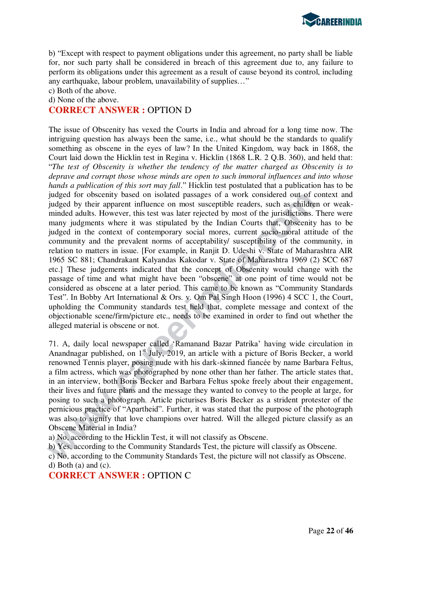

b) "Except with respect to payment obligations under this agreement, no party shall be liable for, nor such party shall be considered in breach of this agreement due to, any failure to perform its obligations under this agreement as a result of cause beyond its control, including any earthquake, labour problem, unavailability of supplies..."

c) Both of the above.

d) None of the above.

## **CORRECT ANSWER :** OPTION D

judged for obsecrity based on isolated passages of a work considered out of contappy<br>gingled by their apparent influence on most susceptible readers, such as children of<br>midded adults. However, this test was later rejected The issue of Obscenity has vexed the Courts in India and abroad for a long time now. The intriguing question has always been the same, i.e., what should be the standards to qualify something as obscene in the eyes of law? In the United Kingdom, way back in 1868, the Court laid down the Hicklin test in Regina v. Hicklin (1868 L.R. 2 Q.B. 360), and held that: ―*The test of Obscenity is whether the tendency of the matter charged as Obscenity is to deprave and corrupt those whose minds are open to such immoral influences and into whose hands a publication of this sort may fall*." Hicklin test postulated that a publication has to be judged for obscenity based on isolated passages of a work considered out of context and judged by their apparent influence on most susceptible readers, such as children or weakminded adults. However, this test was later rejected by most of the jurisdictions. There were many judgments where it was stipulated by the Indian Courts that, Obscenity has to be judged in the context of contemporary social mores, current socio-moral attitude of the community and the prevalent norms of acceptability/ susceptibility of the community, in relation to matters in issue. [For example, in Ranjit D. Udeshi v. State of Maharashtra AIR 1965 SC 881; Chandrakant Kalyandas Kakodar v. State of Maharashtra 1969 (2) SCC 687 etc.] These judgements indicated that the concept of Obscenity would change with the passage of time and what might have been "obscene" at one point of time would not be considered as obscene at a later period. This came to be known as "Community Standards" Test". In Bobby Art International & Ors. v. Om Pal Singh Hoon (1996) 4 SCC 1, the Court, upholding the Community standards test held that, complete message and context of the objectionable scene/firm/picture etc., needs to be examined in order to find out whether the alleged material is obscene or not.

71. A, daily local newspaper called ‗Ramanand Bazar Patrika' having wide circulation in Anandnagar published, on  $1<sup>st</sup>$  July, 2019, an article with a picture of Boris Becker, a world renowned Tennis player, posing nude with his dark-skinned fiancée by name Barbara Feltus, a film actress, which was photographed by none other than her father. The article states that, in an interview, both Boris Becker and Barbara Feltus spoke freely about their engagement, their lives and future plans and the message they wanted to convey to the people at large, for posing to such a photograph. Article picturises Boris Becker as a strident protester of the pernicious practice of "Apartheid". Further, it was stated that the purpose of the photograph was also to signify that love champions over hatred. Will the alleged picture classify as an Obscene Material in India?

a) No, according to the Hicklin Test, it will not classify as Obscene.

b) Yes, according to the Community Standards Test, the picture will classify as Obscene.

c) No, according to the Community Standards Test, the picture will not classify as Obscene. d) Both (a) and (c).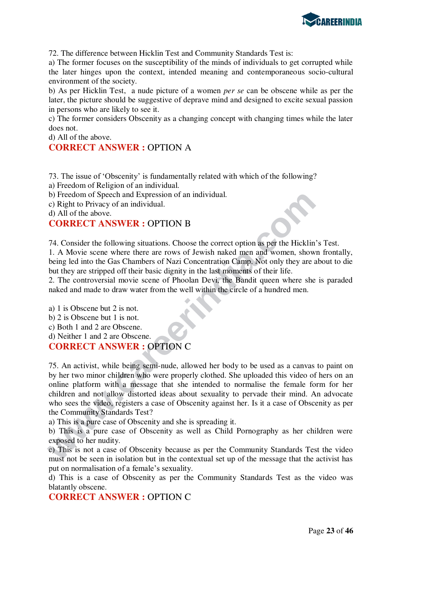

72. The difference between Hicklin Test and Community Standards Test is:

a) The former focuses on the susceptibility of the minds of individuals to get corrupted while the later hinges upon the context, intended meaning and contemporaneous socio-cultural environment of the society.

b) As per Hicklin Test, a nude picture of a women *per se* can be obscene while as per the later, the picture should be suggestive of deprave mind and designed to excite sexual passion in persons who are likely to see it.

c) The former considers Obscenity as a changing concept with changing times while the later does not.

d) All of the above.

## **CORRECT ANSWER :** OPTION A

73. The issue of 'Obscenity' is fundamentally related with which of the following?

a) Freedom of Religion of an individual.

b) Freedom of Speech and Expression of an individual.

c) Right to Privacy of an individual.

d) All of the above.

#### **CORRECT ANSWER :** OPTION B

74. Consider the following situations. Choose the correct option as per the Hicklin's Test.

1. A Movie scene where there are rows of Jewish naked men and women, shown frontally, being led into the Gas Chambers of Nazi Concentration Camp. Not only they are about to die but they are stripped off their basic dignity in the last moments of their life.

2. The controversial movie scene of Phoolan Devi, the Bandit queen where she is paraded naked and made to draw water from the well within the circle of a hundred men.

a) 1 is Obscene but 2 is not. b) 2 is Obscene but 1 is not. c) Both 1 and 2 are Obscene. d) Neither 1 and 2 are Obscene.

## **CORRECT ANSWER :** OPTION C

**b**) Freedom of Speech and Expression of an individual.<br>
c) Right to Privacy of an individual.<br>
c) Right to Privacy of an individual.<br>
d) All of the above.<br> **CORRECT ANSWER** : OPTION B<br>
74. Consider the following situation 75. An activist, while being semi-nude, allowed her body to be used as a canvas to paint on by her two minor children who were properly clothed. She uploaded this video of hers on an online platform with a message that she intended to normalise the female form for her children and not allow distorted ideas about sexuality to pervade their mind. An advocate who sees the video, registers a case of Obscenity against her. Is it a case of Obscenity as per the Community Standards Test?

a) This is a pure case of Obscenity and she is spreading it.

b) This is a pure case of Obscenity as well as Child Pornography as her children were exposed to her nudity.

c) This is not a case of Obscenity because as per the Community Standards Test the video must not be seen in isolation but in the contextual set up of the message that the activist has put on normalisation of a female's sexuality.

d) This is a case of Obscenity as per the Community Standards Test as the video was blatantly obscene.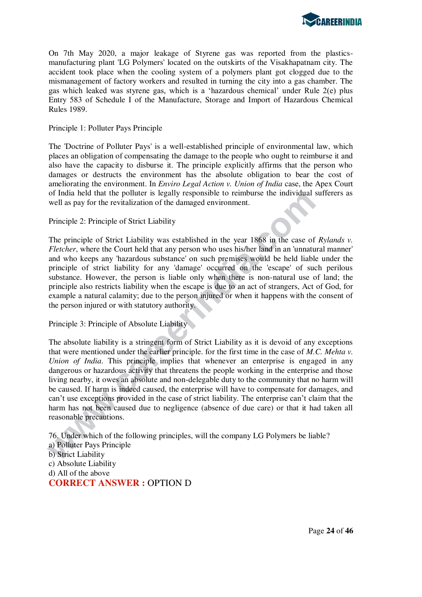

On 7th May 2020, a major leakage of Styrene gas was reported from the plasticsmanufacturing plant 'LG Polymers' located on the outskirts of the Visakhapatnam city. The accident took place when the cooling system of a polymers plant got clogged due to the mismanagement of factory workers and resulted in turning the city into a gas chamber. The gas which leaked was styrene gas, which is a 'hazardous chemical' under Rule 2(e) plus Entry 583 of Schedule I of the Manufacture, Storage and Import of Hazardous Chemical Rules 1989.

#### Principle 1: Polluter Pays Principle

The 'Doctrine of Polluter Pays' is a well-established principle of environmental law, which places an obligation of compensating the damage to the people who ought to reimburse it and also have the capacity to disburse it. The principle explicitly affirms that the person who damages or destructs the environment has the absolute obligation to bear the cost of ameliorating the environment. In *Enviro Legal Action v. Union of India* case, the Apex Court of India held that the polluter is legally responsible to reimburse the individual sufferers as well as pay for the revitalization of the damaged environment.

#### Principle 2: Principle of Strict Liability

The principle of Strict Liability was established in the year 1868 in the case of *Rylands v. Fletcher*, where the Court held that any person who uses his/her land in an 'unnatural manner' and who keeps any 'hazardous substance' on such premises would be held liable under the principle of strict liability for any 'damage' occurred on the 'escape' of such perilous substance. However, the person is liable only when there is non-natural use of land; the principle also restricts liability when the escape is due to an act of strangers, Act of God, for example a natural calamity; due to the person injured or when it happens with the consent of the person injured or with statutory authority.

#### Principle 3: Principle of Absolute Liability

or man neat the pointer is egany responsible to remote the maximal ed or the end that the pointer is eganly responsible to terminal end or the principle of Strict Liability<br>The principle of Strict Liability<br>The principle o The absolute liability is a stringent form of Strict Liability as it is devoid of any exceptions that were mentioned under the earlier principle. for the first time in the case of *M.C. Mehta v. Union of India*. This principle implies that whenever an enterprise is engaged in any dangerous or hazardous activity that threatens the people working in the enterprise and those living nearby, it owes an absolute and non-delegable duty to the community that no harm will be caused. If harm is indeed caused, the enterprise will have to compensate for damages, and can't use exceptions provided in the case of strict liability. The enterprise can't claim that the harm has not been caused due to negligence (absence of due care) or that it had taken all reasonable precautions.

76. Under which of the following principles, will the company LG Polymers be liable? a) Polluter Pays Principle b) Strict Liability c) Absolute Liability d) All of the above **CORRECT ANSWER :** OPTION D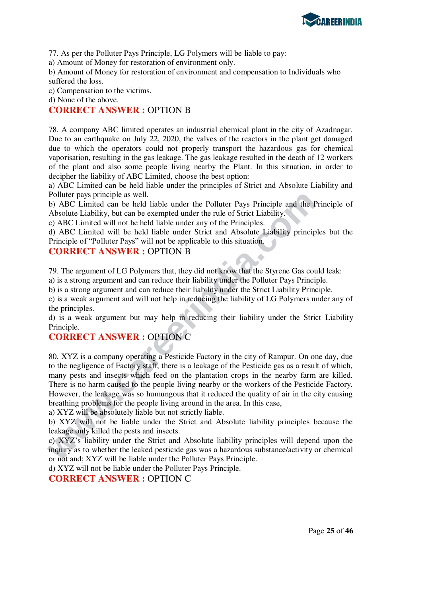

77. As per the Polluter Pays Principle, LG Polymers will be liable to pay:

a) Amount of Money for restoration of environment only.

b) Amount of Money for restoration of environment and compensation to Individuals who suffered the loss.

c) Compensation to the victims.

d) None of the above.

## **CORRECT ANSWER :** OPTION B

78. A company ABC limited operates an industrial chemical plant in the city of Azadnagar. Due to an earthquake on July 22, 2020, the valves of the reactors in the plant get damaged due to which the operators could not properly transport the hazardous gas for chemical vaporisation, resulting in the gas leakage. The gas leakage resulted in the death of 12 workers of the plant and also some people living nearby the Plant. In this situation, in order to decipher the liability of ABC Limited, choose the best option:

a) ABC Limited can be held liable under the principles of Strict and Absolute Liability and Polluter pays principle as well.

b) ABC Limited can be held liable under the Polluter Pays Principle and the Principle of Absolute Liability, but can be exempted under the rule of Strict Liability.

c) ABC Limited will not be held liable under any of the Principles.

d) ABC Limited will be held liable under Strict and Absolute Liability principles but the Principle of "Polluter Pays" will not be applicable to this situation.

## **CORRECT ANSWER :** OPTION B

79. The argument of LG Polymers that, they did not know that the Styrene Gas could leak:

a) is a strong argument and can reduce their liability under the Polluter Pays Principle.

b) is a strong argument and can reduce their liability under the Strict Liability Principle.

c) is a weak argument and will not help in reducing the liability of LG Polymers under any of the principles.

d) is a weak argument but may help in reducing their liability under the Strict Liability Principle.

## **CORRECT ANSWER :** OPTION C

Folluter pays principle as well.<br>
Hollar pays principle and the Prin<br>
b) ABC Limited can be held liable under the Polluter Pays Principle and the Prin<br>
Absolute Liability, but can be exempted under the rule of Strict Liabi 80. XYZ is a company operating a Pesticide Factory in the city of Rampur. On one day, due to the negligence of Factory staff, there is a leakage of the Pesticide gas as a result of which, many pests and insects which feed on the plantation crops in the nearby farm are killed. There is no harm caused to the people living nearby or the workers of the Pesticide Factory. However, the leakage was so humungous that it reduced the quality of air in the city causing breathing problems for the people living around in the area. In this case,

a) XYZ will be absolutely liable but not strictly liable.

b) XYZ will not be liable under the Strict and Absolute liability principles because the leakage only killed the pests and insects.

c) XYZ's liability under the Strict and Absolute liability principles will depend upon the inquiry as to whether the leaked pesticide gas was a hazardous substance/activity or chemical or not and; XYZ will be liable under the Polluter Pays Principle.

d) XYZ will not be liable under the Polluter Pays Principle.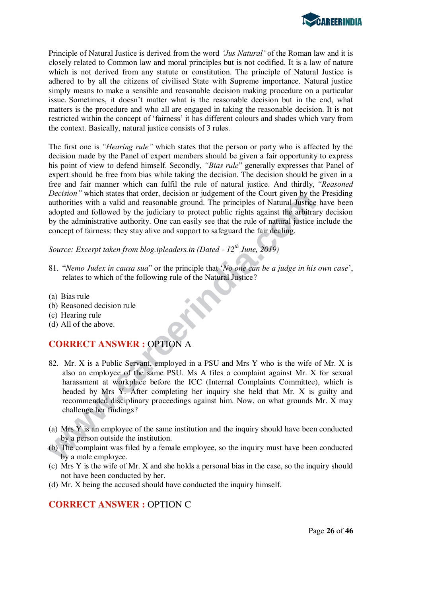

Principle of Natural Justice is derived from the word *"Jus Natural"* of the Roman law and it is closely related to Common law and moral principles but is not codified. It is a law of nature which is not derived from any statute or constitution. The principle of Natural Justice is adhered to by all the citizens of civilised State with Supreme importance. Natural justice simply means to make a sensible and reasonable decision making procedure on a particular issue. Sometimes, it doesn't matter what is the reasonable decision but in the end, what matters is the procedure and who all are engaged in taking the reasonable decision. It is not restricted within the concept of 'fairness' it has different colours and shades which vary from the context. Basically, natural justice consists of 3 rules.

The first one is *"Hearing rule"* which states that the person or party who is affected by the decision made by the Panel of expert members should be given a fair opportunity to express his point of view to defend himself. Secondly, *"Bias rule"* generally expresses that Panel of expert should be free from bias while taking the decision. The decision should be given in a free and fair manner which can fulfil the rule of natural justice. And thirdly, *"Reasoned Decision"* which states that order, decision or judgement of the Court given by the Presiding authorities with a valid and reasonable ground. The principles of Natural Justice have been adopted and followed by the judiciary to protect public rights against the arbitrary decision by the administrative authority. One can easily see that the rule of natural justice include the concept of fairness: they stay alive and support to safeguard the fair dealing.

# *Source: Excerpt taken from blog.ipleaders.in (Dated - 12th June, 2019)*

- 81. "*Nemo Judex in causa sua*" or the principle that *`No one can be a judge in his own case*', relates to which of the following rule of the Natural Justice?
- (a) Bias rule
- (b) Reasoned decision rule
- (c) Hearing rule
- (d) All of the above.

# **CORRECT ANSWER :** OPTION A

- *Decision* winen states translation and order, decision in uncertainty of the Court given by the particular and followed by the judiciary to protect public rights against the arbitrary by the administrative sultive income 82. Mr. X is a Public Servant, employed in a PSU and Mrs Y who is the wife of Mr. X is also an employee of the same PSU. Ms A files a complaint against Mr. X for sexual harassment at workplace before the ICC (Internal Complaints Committee), which is headed by Mrs Y. After completing her inquiry she held that Mr. X is guilty and recommended disciplinary proceedings against him. Now, on what grounds Mr. X may challenge her findings?
- (a) Mrs Y is an employee of the same institution and the inquiry should have been conducted by a person outside the institution.
- (b) The complaint was filed by a female employee, so the inquiry must have been conducted by a male employee.
- (c) Mrs Y is the wife of Mr. X and she holds a personal bias in the case, so the inquiry should not have been conducted by her.
- (d) Mr. X being the accused should have conducted the inquiry himself.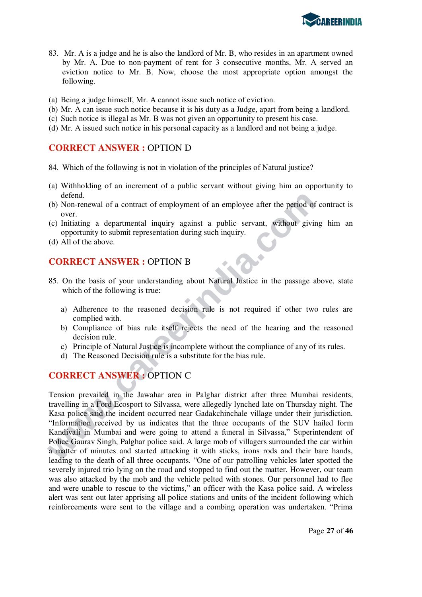

- 83. Mr. A is a judge and he is also the landlord of Mr. B, who resides in an apartment owned by Mr. A. Due to non-payment of rent for 3 consecutive months, Mr. A served an eviction notice to Mr. B. Now, choose the most appropriate option amongst the following.
- (a) Being a judge himself, Mr. A cannot issue such notice of eviction.
- (b) Mr. A can issue such notice because it is his duty as a Judge, apart from being a landlord.
- (c) Such notice is illegal as Mr. B was not given an opportunity to present his case.
- (d) Mr. A issued such notice in his personal capacity as a landlord and not being a judge.

#### **CORRECT ANSWER :** OPTION D

- 84. Which of the following is not in violation of the principles of Natural justice?
- (a) Withholding of an increment of a public servant without giving him an opportunity to defend.
- (b) Non-renewal of a contract of employment of an employee after the period of contract is over.
- (c) Initiating a departmental inquiry against a public servant, without giving him an opportunity to submit representation during such inquiry.
- (d) All of the above.

## **CORRECT ANSWER :** OPTION B

- 85. On the basis of your understanding about Natural Justice in the passage above, state which of the following is true:
	- a) Adherence to the reasoned decision rule is not required if other two rules are complied with.
	- b) Compliance of bias rule itself rejects the need of the hearing and the reasoned decision rule.
	- c) Principle of Natural Justice is incomplete without the compliance of any of its rules.
	- d) The Reasoned Decision rule is a substitute for the bias rule.

## **CORRECT ANSWER :** OPTION C

definal.<br>
(b) Non-renewal of a contract of employment of an employee after the period of co<br>
(c) Intinting a departmental inquiry against a public servant, without giving<br>
(c) and of the above.<br> **CORRECT ANSWER : OPTION B** Tension prevailed in the Jawahar area in Palghar district after three Mumbai residents, travelling in a Ford Ecosport to Silvassa, were allegedly lynched late on Thursday night. The Kasa police said the incident occurred near Gadakchinchale village under their jurisdiction. "Information received by us indicates that the three occupants of the SUV hailed form Kandivali in Mumbai and were going to attend a funeral in Silvassa," Superintendent of Police Gaurav Singh, Palghar police said. A large mob of villagers surrounded the car within a matter of minutes and started attacking it with sticks, irons rods and their bare hands, leading to the death of all three occupants. "One of our patrolling vehicles later spotted the severely injured trio lying on the road and stopped to find out the matter. However, our team was also attacked by the mob and the vehicle pelted with stones. Our personnel had to flee and were unable to rescue to the victims," an officer with the Kasa police said. A wireless alert was sent out later apprising all police stations and units of the incident following which reinforcements were sent to the village and a combing operation was undertaken. "Prima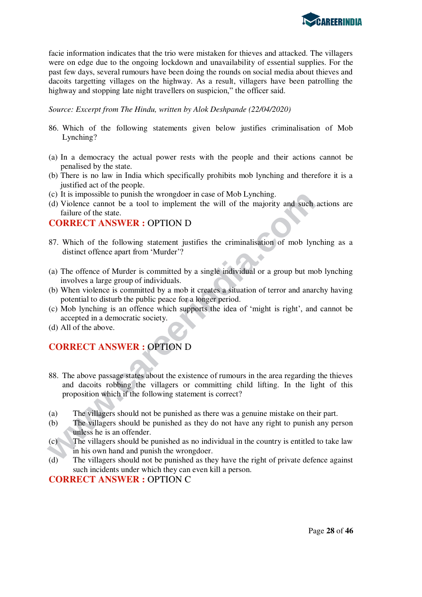

facie information indicates that the trio were mistaken for thieves and attacked. The villagers were on edge due to the ongoing lockdown and unavailability of essential supplies. For the past few days, several rumours have been doing the rounds on social media about thieves and dacoits targetting villages on the highway. As a result, villagers have been patrolling the highway and stopping late night travellers on suspicion," the officer said.

#### *Source: Excerpt from The Hindu, written by Alok Deshpande (22/04/2020)*

- 86. Which of the following statements given below justifies criminalisation of Mob Lynching?
- (a) In a democracy the actual power rests with the people and their actions cannot be penalised by the state.
- (b) There is no law in India which specifically prohibits mob lynching and therefore it is a justified act of the people.
- (c) It is impossible to punish the wrongdoer in case of Mob Lynching.
- (d) Violence cannot be a tool to implement the will of the majority and such actions are failure of the state.

#### **CORRECT ANSWER :** OPTION D

- 87. Which of the following statement justifies the criminalisation of mob lynching as a distinct offence apart from 'Murder'?
- (a) The offence of Murder is committed by a single individual or a group but mob lynching involves a large group of individuals.
- (b) When violence is committed by a mob it creates a situation of terror and anarchy having potential to disturb the public peace for a longer period.
- (c) Mob lynching is an offence which supports the idea of ‗might is right', and cannot be accepted in a democratic society.
- (d) All of the above.

## **CORRECT ANSWER :** OPTION D

- (c) It is impossible to punish the wrongolor in case of Mob Lynching.<br>
(d) Violence cannot be a tool to implement the will of the majority and such act<br>
failure of the state.<br> **CORRECT ANSWER** : OPTION D<br>
87. Which of the 88. The above passage states about the existence of rumours in the area regarding the thieves and dacoits robbing the villagers or committing child lifting. In the light of this proposition which if the following statement is correct?
- (a) The villagers should not be punished as there was a genuine mistake on their part.
- (b) The villagers should be punished as they do not have any right to punish any person unless he is an offender.
- (c) The villagers should be punished as no individual in the country is entitled to take law in his own hand and punish the wrongdoer.
- (d) The villagers should not be punished as they have the right of private defence against such incidents under which they can even kill a person.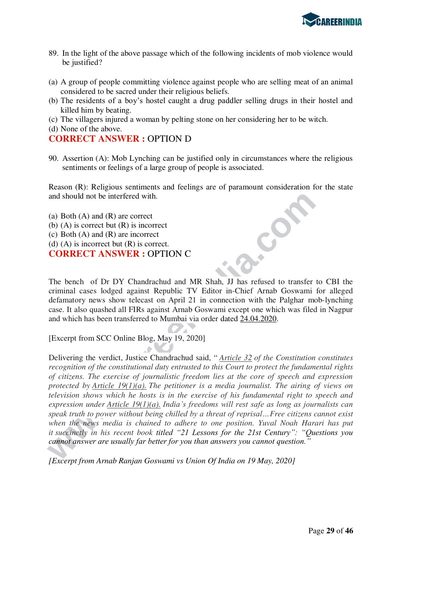

- 89. In the light of the above passage which of the following incidents of mob violence would be justified?
- (a) A group of people committing violence against people who are selling meat of an animal considered to be sacred under their religious beliefs.
- (b) The residents of a boy's hostel caught a drug paddler selling drugs in their hostel and killed him by beating.
- (c) The villagers injured a woman by pelting stone on her considering her to be witch.
- (d) None of the above.

#### **CORRECT ANSWER :** OPTION D

90. Assertion (A): Mob Lynching can be justified only in circumstances where the religious sentiments or feelings of a large group of people is associated.

Reason (R): Religious sentiments and feelings are of paramount consideration for the state and should not be interfered with.

(a) Both  $(A)$  and  $(R)$  are correct (b) (A) is correct but (R) is incorrect (c) Both (A) and (R) are incorrect (d)  $(A)$  is incorrect but  $(R)$  is correct. **CORRECT ANSWER :** OPTION C

The bench of Dr DY Chandrachud and MR Shah, JJ has refused to transfer to CBI the criminal cases lodged against Republic TV Editor in-Chief Arnab Goswami for alleged defamatory news show telecast on April 21 in connection with the Palghar mob-lynching case. It also quashed all FIRs against Arnab Goswami except one which was filed in Nagpur and which has been transferred to Mumbai via order dated 24.04.2020.

[Excerpt from SCC Online Blog, May 19, 2020]

and should not be interfered with.<br>
(a) Both (A) and (R) are correct<br>
(b) (A) is correct to (R) is incorrect<br>
(c) Both (A) and (R) are incorrect<br>
(d) (A) is incorrect but (R) is correct<br>
(d) (A) is incorrect but (R) is cor Delivering the verdict, Justice Chandrachud said, "Article 32 of the Constitution constitutes *recognition of the constitutional duty entrusted to this Court to protect the fundamental rights of citizens. The exercise of journalistic freedom lies at the core of speech and expression protected by Article 19(1)(a). The petitioner is a media journalist. The airing of views on television shows which he hosts is in the exercise of his fundamental right to speech and expression under Article 19(1)(a). India"s freedoms will rest safe as long as journalists can speak truth to power without being chilled by a threat of reprisal…Free citizens cannot exist*  when the news media is chained to adhere to one position. Yuval Noah Harari has put *it succinctly in his recent book titled "21 Lessons for the 21st Century": "Questions you cannot answer are usually far better for you than answers you cannot question."*

*[Excerpt from Arnab Ranjan Goswami vs Union Of India on 19 May, 2020]*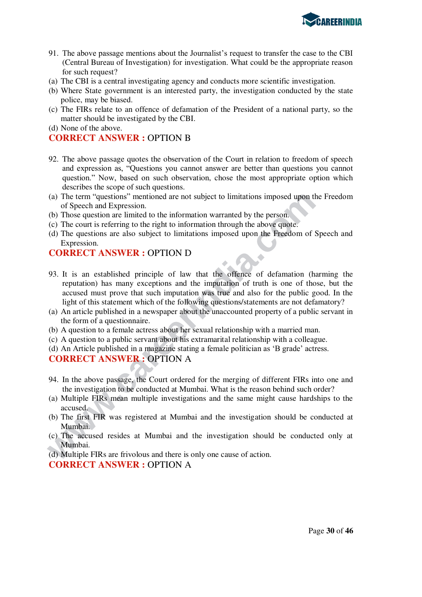

- 91. The above passage mentions about the Journalist's request to transfer the case to the CBI (Central Bureau of Investigation) for investigation. What could be the appropriate reason for such request?
- (a) The CBI is a central investigating agency and conducts more scientific investigation.
- (b) Where State government is an interested party, the investigation conducted by the state police, may be biased.
- (c) The FIRs relate to an offence of defamation of the President of a national party, so the matter should be investigated by the CBI.
- (d) None of the above.

#### **CORRECT ANSWER :** OPTION B

- 92. The above passage quotes the observation of the Court in relation to freedom of speech and expression as, "Questions you cannot answer are better than questions you cannot question." Now, based on such observation, chose the most appropriate option which describes the scope of such questions.
- (a) The term "questions" mentioned are not subject to limitations imposed upon the Freedom of Speech and Expression.
- (b) Those question are limited to the information warranted by the person.
- (c) The court is referring to the right to information through the above quote.
- (d) The questions are also subject to limitations imposed upon the Freedom of Speech and Expression.

#### **CORRECT ANSWER :** OPTION D

- (a) The term "questions" mentioned are not subject to limitations imposed upon the 1<br>
of Specto and Expression.<br>
(b) Those question are limited to the information warranted by the person.<br>
(c) The court is referring to the 93. It is an established principle of law that the offence of defamation (harming the reputation) has many exceptions and the imputation of truth is one of those, but the accused must prove that such imputation was true and also for the public good. In the light of this statement which of the following questions/statements are not defamatory?
- (a) An article published in a newspaper about the unaccounted property of a public servant in the form of a questionnaire.
- (b) A question to a female actress about her sexual relationship with a married man.
- (c) A question to a public servant about his extramarital relationship with a colleague.
- (d) An Article published in a magazine stating a female politician as 'B grade' actress.

#### **CORRECT ANSWER :** OPTION A

- 94. In the above passage, the Court ordered for the merging of different FIRs into one and the investigation to be conducted at Mumbai. What is the reason behind such order?
- (a) Multiple FIRs mean multiple investigations and the same might cause hardships to the accused.
- (b) The first FIR was registered at Mumbai and the investigation should be conducted at Mumbai.
- (c) The accused resides at Mumbai and the investigation should be conducted only at Mumbai.
- (d) Multiple FIRs are frivolous and there is only one cause of action.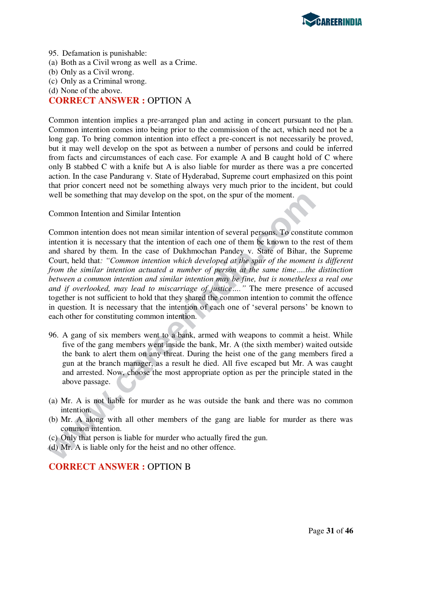

95. Defamation is punishable: (a) Both as a Civil wrong as well as a Crime. (b) Only as a Civil wrong. (c) Only as a Criminal wrong. (d) None of the above. **CORRECT ANSWER :** OPTION A

Common intention implies a pre-arranged plan and acting in concert pursuant to the plan. Common intention comes into being prior to the commission of the act, which need not be a long gap. To bring common intention into effect a pre-concert is not necessarily be proved, but it may well develop on the spot as between a number of persons and could be inferred from facts and circumstances of each case. For example A and B caught hold of C where only B stabbed C with a knife but A is also liable for murder as there was a pre concerted action. In the case Pandurang v. State of Hyderabad, Supreme court emphasized on this point that prior concert need not be something always very much prior to the incident, but could well be something that may develop on the spot, on the spur of the moment.

Common Intention and Similar Intention

well be something that may develop on the spot, on the spur of the moment.<br>Common Intention and Similar Intention of several persons. To constitute intention it is necessary that the intention of each one of them be known Common intention does not mean similar intention of several persons. To constitute common intention it is necessary that the intention of each one of them be known to the rest of them and shared by them. In the case of Dukhmochan Pandey v. State of Bihar, the Supreme Court, held that*: "Common intention which developed at the spur of the moment is different from the similar intention actuated a number of person at the same time….the distinction between a common intention and similar intention may be fine, but is nonetheless a real one and if overlooked, may lead to miscarriage of justice…."* The mere presence of accused together is not sufficient to hold that they shared the common intention to commit the offence in question. It is necessary that the intention of each one of 'several persons' be known to each other for constituting common intention.

- 96. A gang of six members went to a bank, armed with weapons to commit a heist. While five of the gang members went inside the bank, Mr. A (the sixth member) waited outside the bank to alert them on any threat. During the heist one of the gang members fired a gun at the branch manager, as a result he died. All five escaped but Mr. A was caught and arrested. Now, choose the most appropriate option as per the principle stated in the above passage.
- (a) Mr. A is not liable for murder as he was outside the bank and there was no common intention.
- (b) Mr. A along with all other members of the gang are liable for murder as there was common intention.
- (c) Only that person is liable for murder who actually fired the gun.
- (d) Mr. A is liable only for the heist and no other offence.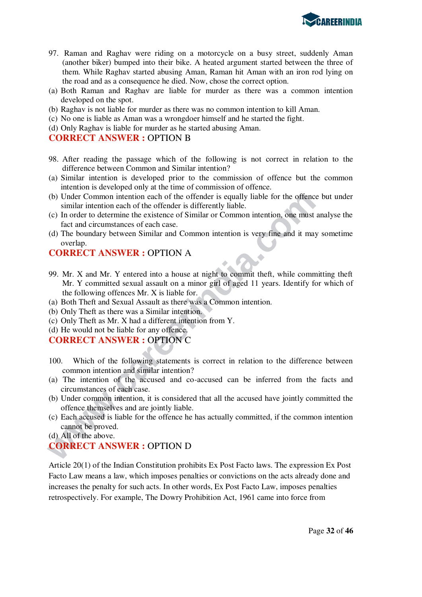

- 97. Raman and Raghav were riding on a motorcycle on a busy street, suddenly Aman (another biker) bumped into their bike. A heated argument started between the three of them. While Raghav started abusing Aman, Raman hit Aman with an iron rod lying on the road and as a consequence he died. Now, chose the correct option.
- (a) Both Raman and Raghav are liable for murder as there was a common intention developed on the spot.
- (b) Raghav is not liable for murder as there was no common intention to kill Aman.
- (c) No one is liable as Aman was a wrongdoer himself and he started the fight.
- (d) Only Raghav is liable for murder as he started abusing Aman.

#### **CORRECT ANSWER :** OPTION B

- 98. After reading the passage which of the following is not correct in relation to the difference between Common and Similar intention?
- (a) Similar intention is developed prior to the commission of offence but the common intention is developed only at the time of commission of offence.
- (b) Under Common intention each of the offender is equally liable for the offence but under similar intention each of the offender is differently liable.
- (c) In order to determine the existence of Similar or Common intention, one must analyse the fact and circumstances of each case.
- (d) The boundary between Similar and Common intention is very fine and it may sometime overlap.

#### **CORRECT ANSWER :** OPTION A

- (b) Under Common intention each of the offender is equally liable for the offence b<br>
similar intention each of the offender is differently liable.<br>
Common intention each of the offender is differently liable.<br>
(c) In orde 99. Mr. X and Mr. Y entered into a house at night to commit theft, while committing theft Mr. Y committed sexual assault on a minor girl of aged 11 years. Identify for which of the following offences Mr. X is liable for.
- (a) Both Theft and Sexual Assault as there was a Common intention.
- (b) Only Theft as there was a Similar intention.
- (c) Only Theft as Mr. X had a different intention from Y.
- (d) He would not be liable for any offence.

#### **CORRECT ANSWER :** OPTION C

- 100. Which of the following statements is correct in relation to the difference between common intention and similar intention?
- (a) The intention of the accused and co-accused can be inferred from the facts and circumstances of each case.
- (b) Under common intention, it is considered that all the accused have jointly committed the offence themselves and are jointly liable.
- (c) Each accused is liable for the offence he has actually committed, if the common intention cannot be proved.
- (d) All of the above.

## **CORRECT ANSWER :** OPTION D

Article 20(1) of the Indian Constitution prohibits Ex Post Facto laws. The expression Ex Post Facto Law means a law, which imposes penalties or convictions on the acts already done and increases the penalty for such acts. In other words, Ex Post Facto Law, imposes penalties retrospectively. For example, The Dowry Prohibition Act, 1961 came into force from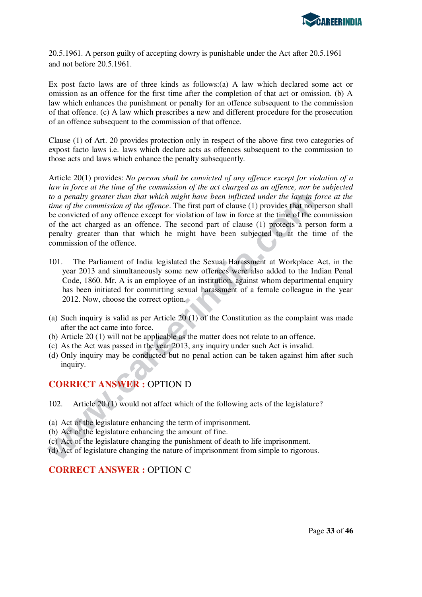

20.5.1961. A person guilty of accepting dowry is punishable under the Act after 20.5.1961 and not before 20.5.1961.

Ex post facto laws are of three kinds as follows:(a) A law which declared some act or omission as an offence for the first time after the completion of that act or omission. (b) A law which enhances the punishment or penalty for an offence subsequent to the commission of that offence. (c) A law which prescribes a new and different procedure for the prosecution of an offence subsequent to the commission of that offence.

Clause (1) of Art. 20 provides protection only in respect of the above first two categories of expost facto laws i.e. laws which declare acts as offences subsequent to the commission to those acts and laws which enhance the penalty subsequently.

to a penalty greater than that which might have been inflicted under the law in form time of the offme. The first part of clause (1) provides that no perception of the offence. The first part of clause (1) protests hat no Article 20(1) provides: *No person shall be convicted of any offence except for violation of a law in force at the time of the commission of the act charged as an offence, nor be subjected to a penalty greater than that which might have been inflicted under the law in force at the time of the commission of the offence*. The first part of clause (1) provides that no person shall be convicted of any offence except for violation of law in force at the time of the commission of the act charged as an offence. The second part of clause (1) protects a person form a penalty greater than that which he might have been subjected to at the time of the commission of the offence.

- 101. The Parliament of India legislated the Sexual Harassment at Workplace Act, in the year 2013 and simultaneously some new offences were also added to the Indian Penal Code, 1860. Mr. A is an employee of an institution, against whom departmental enquiry has been initiated for committing sexual harassment of a female colleague in the year 2012. Now, choose the correct option.
- (a) Such inquiry is valid as per Article 20 (1) of the Constitution as the complaint was made after the act came into force.
- (b) Article 20 (1) will not be applicable as the matter does not relate to an offence.
- (c) As the Act was passed in the year 2013, any inquiry under such Act is invalid.
- (d) Only inquiry may be conducted but no penal action can be taken against him after such inquiry.

## **CORRECT ANSWER :** OPTION D

102. Article 20 (1) would not affect which of the following acts of the legislature?

- (a) Act of the legislature enhancing the term of imprisonment.
- (b) Act of the legislature enhancing the amount of fine.
- (c) Act of the legislature changing the punishment of death to life imprisonment.
- (d) Act of legislature changing the nature of imprisonment from simple to rigorous.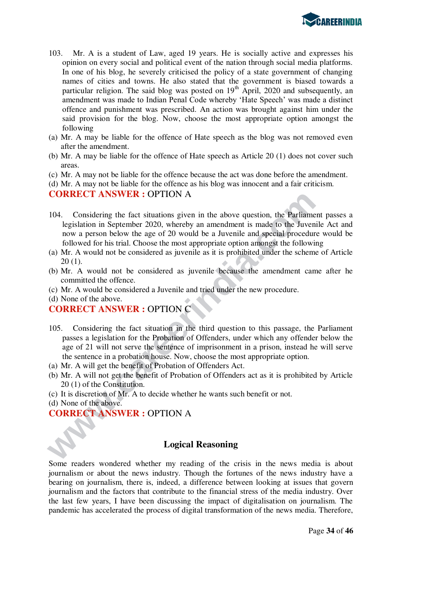

- 103. Mr. A is a student of Law, aged 19 years. He is socially active and expresses his opinion on every social and political event of the nation through social media platforms. In one of his blog, he severely criticised the policy of a state government of changing names of cities and towns. He also stated that the government is biased towards a particular religion. The said blog was posted on  $19<sup>th</sup>$  April, 2020 and subsequently, an amendment was made to Indian Penal Code whereby 'Hate Speech' was made a distinct offence and punishment was prescribed. An action was brought against him under the said provision for the blog. Now, choose the most appropriate option amongst the following
- (a) Mr. A may be liable for the offence of Hate speech as the blog was not removed even after the amendment.
- (b) Mr. A may be liable for the offence of Hate speech as Article 20 (1) does not cover such areas.
- (c) Mr. A may not be liable for the offence because the act was done before the amendment.
- (d) Mr. A may not be liable for the offence as his blog was innocent and a fair criticism.

#### **CORRECT ANSWER :** OPTION A

- 104. Considering the fact situations given in the above question, the Parliament passes a legislation in September 2020, whereby an amendment is made to the Juvenile Act and now a person below the age of 20 would be a Juvenile and special procedure would be followed for his trial. Choose the most appropriate option amongst the following
- (a) Mr. A would not be considered as juvenile as it is prohibited under the scheme of Article 20 (1).
- (b) Mr. A would not be considered as juvenile because the amendment came after he committed the offence.
- (c) Mr. A would be considered a Juvenile and tried under the new procedure.
- (d) None of the above.

## **CORRECT ANSWER :** OPTION C

- **EXECT ANSWER :** OPTION A<br>
104. Considering the fact situations given in the above question, the Parliament<br>
legislation in September 2020, whereby an amendment is made to the Juvenile<br>
now a person below the age of 20 wou 105. Considering the fact situation in the third question to this passage, the Parliament passes a legislation for the Probation of Offenders, under which any offender below the age of 21 will not serve the sentence of imprisonment in a prison, instead he will serve the sentence in a probation house. Now, choose the most appropriate option.
- (a) Mr. A will get the benefit of Probation of Offenders Act.
- (b) Mr. A will not get the benefit of Probation of Offenders act as it is prohibited by Article 20 (1) of the Constitution.
- (c) It is discretion of Mr. A to decide whether he wants such benefit or not.
- (d) None of the above.

#### **CORRECT ANSWER :** OPTION A

## **Logical Reasoning**

Some readers wondered whether my reading of the crisis in the news media is about journalism or about the news industry. Though the fortunes of the news industry have a bearing on journalism, there is, indeed, a difference between looking at issues that govern journalism and the factors that contribute to the financial stress of the media industry. Over the last few years, I have been discussing the impact of digitalisation on journalism. The pandemic has accelerated the process of digital transformation of the news media. Therefore,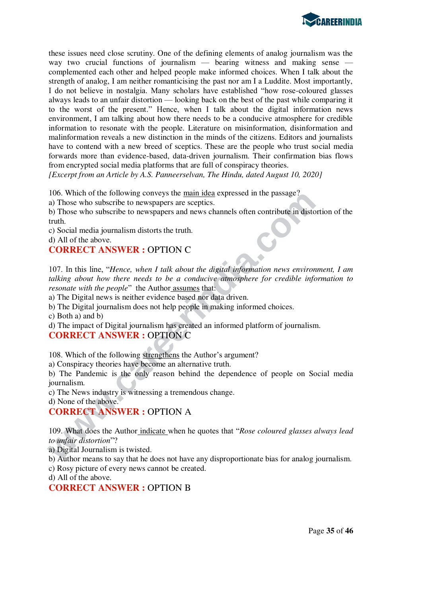

these issues need close scrutiny. One of the defining elements of analog journalism was the way two crucial functions of journalism  $-$  bearing witness and making sense complemented each other and helped people make informed choices. When I talk about the strength of analog, I am neither romanticising the past nor am I a Luddite. Most importantly, I do not believe in nostalgia. Many scholars have established "how rose-coloured glasses" always leads to an unfair distortion — looking back on the best of the past while comparing it to the worst of the present." Hence, when I talk about the digital information news environment, I am talking about how there needs to be a conducive atmosphere for credible information to resonate with the people. Literature on misinformation, disinformation and malinformation reveals a new distinction in the minds of the citizens. Editors and journalists have to contend with a new breed of sceptics. These are the people who trust social media forwards more than evidence-based, data-driven journalism. Their confirmation bias flows from encrypted social media platforms that are full of conspiracy theories.

*[Excerpt from an Article by A.S. Panneerselvan, The Hindu, dated August 10, 2020]* 

106. Which of the following conveys the main idea expressed in the passage?

a) Those who subscribe to newspapers are sceptics.

b) Those who subscribe to newspapers and news channels often contribute in distortion of the truth.

c) Social media journalism distorts the truth.

d) All of the above.

#### **CORRECT ANSWER :** OPTION C

106. when of the following conveys the <u>main decay</u> expressed in the passage?<br>
a) Those who subscribe to newspapers are sceptics.<br>
b) Those who subscribe to newspapers are sceptics.<br>
b) Those who subscribe to newspapers an 107. In this line, "Hence, when I talk about the digital information news environment, I am *talking about how there needs to be a conducive atmosphere for credible information to resonate with the people*" the Author assumes that:

a) The Digital news is neither evidence based nor data driven.

b) The Digital journalism does not help people in making informed choices.

c) Both a) and b)

d) The impact of Digital journalism has created an informed platform of journalism.

## **CORRECT ANSWER :** OPTION C

108. Which of the following strengthens the Author's argument?

a) Conspiracy theories have become an alternative truth.

b) The Pandemic is the only reason behind the dependence of people on Social media journalism.

c) The News industry is witnessing a tremendous change.

d) None of the above.

**CORRECT ANSWER :** OPTION A

109. What does the Author indicate when he quotes that ―*Rose coloured glasses always lead to unfair distortion*"?

a) Digital Journalism is twisted.

b) Author means to say that he does not have any disproportionate bias for analog journalism.

c) Rosy picture of every news cannot be created.

d) All of the above.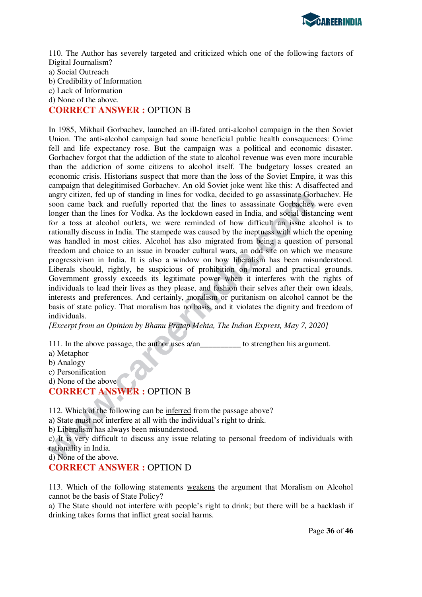

110. The Author has severely targeted and criticized which one of the following factors of Digital Journalism? a) Social Outreach b) Credibility of Information c) Lack of Information

d) None of the above.

## **CORRECT ANSWER :** OPTION B

angry cirizen, fed up of standing in lines for vodka, decided to go assessinate Gorbacach<br>soon came back and ruefully reported that the lines to assassinate Gorbachery<br>longer than the lines for Vodka. As the lockdown eased In 1985, Mikhail Gorbachev, launched an ill-fated anti-alcohol campaign in the then Soviet Union. The anti-alcohol campaign had some beneficial public health consequences: Crime fell and life expectancy rose. But the campaign was a political and economic disaster. Gorbachev forgot that the addiction of the state to alcohol revenue was even more incurable than the addiction of some citizens to alcohol itself. The budgetary losses created an economic crisis. Historians suspect that more than the loss of the Soviet Empire, it was this campaign that delegitimised Gorbachev. An old Soviet joke went like this: A disaffected and angry citizen, fed up of standing in lines for vodka, decided to go assassinate Gorbachev. He soon came back and ruefully reported that the lines to assassinate Gorbachev were even longer than the lines for Vodka. As the lockdown eased in India, and social distancing went for a toss at alcohol outlets, we were reminded of how difficult an issue alcohol is to rationally discuss in India. The stampede was caused by the ineptness with which the opening was handled in most cities. Alcohol has also migrated from being a question of personal freedom and choice to an issue in broader cultural wars, an odd site on which we measure progressivism in India. It is also a window on how liberalism has been misunderstood. Liberals should, rightly, be suspicious of prohibition on moral and practical grounds. Government grossly exceeds its legitimate power when it interferes with the rights of individuals to lead their lives as they please, and fashion their selves after their own ideals, interests and preferences. And certainly, moralism or puritanism on alcohol cannot be the basis of state policy. That moralism has no basis, and it violates the dignity and freedom of individuals.

*[Excerpt from an Opinion by Bhanu Pratap Mehta, The Indian Express, May 7, 2020]* 

111. In the above passage, the author uses a/an to strengthen his argument.

a) Metaphor

b) Analogy

c) Personification

d) None of the above

#### **CORRECT ANSWER :** OPTION B

112. Which of the following can be inferred from the passage above?

a) State must not interfere at all with the individual's right to drink.

b) Liberalism has always been misunderstood.

c) It is very difficult to discuss any issue relating to personal freedom of individuals with rationality in India.

d) None of the above.

#### **CORRECT ANSWER :** OPTION D

113. Which of the following statements weakens the argument that Moralism on Alcohol cannot be the basis of State Policy?

a) The State should not interfere with people's right to drink; but there will be a backlash if drinking takes forms that inflict great social harms.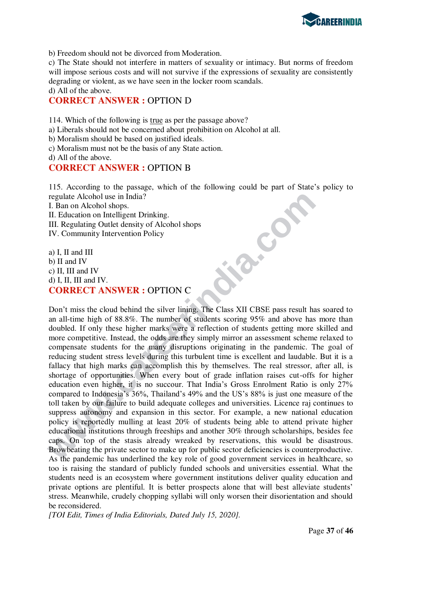

b) Freedom should not be divorced from Moderation.

c) The State should not interfere in matters of sexuality or intimacy. But norms of freedom will impose serious costs and will not survive if the expressions of sexuality are consistently degrading or violent, as we have seen in the locker room scandals. d) All of the above.

#### **CORRECT ANSWER :** OPTION D

114. Which of the following is true as per the passage above?

a) Liberals should not be concerned about prohibition on Alcohol at all.

b) Moralism should be based on justified ideals.

c) Moralism must not be the basis of any State action.

d) All of the above.

#### **CORRECT ANSWER :** OPTION B

115. According to the passage, which of the following could be part of State's policy to regulate Alcohol use in India?

I. Ban on Alcohol shops.

II. Education on Intelligent Drinking.

III. Regulating Outlet density of Alcohol shops

IV. Community Intervention Policy

a) I, II and III b) II and IV c) II, III and IV d) I, II, III and IV. **CORRECT ANSWER :** OPTION C

regulate Alcohol use in India?<br> **L. Ban on Alcohol shops.**<br> **L. Ban on Alcohol shops**<br> **II. Reducation on Intelligent Drinking.**<br> **III. Reducation on Intelligent Drinking.**<br> **V. Community Intervention Policy**<br> **a) J.** II Don't miss the cloud behind the silver lining. The Class XII CBSE pass result has soared to an all-time high of 88.8%. The number of students scoring 95% and above has more than doubled. If only these higher marks were a reflection of students getting more skilled and more competitive. Instead, the odds are they simply mirror an assessment scheme relaxed to compensate students for the many disruptions originating in the pandemic. The goal of reducing student stress levels during this turbulent time is excellent and laudable. But it is a fallacy that high marks can accomplish this by themselves. The real stressor, after all, is shortage of opportunities. When every bout of grade inflation raises cut-offs for higher education even higher, it is no succour. That India's Gross Enrolment Ratio is only 27% compared to Indonesia's 36%, Thailand's 49% and the US's 88% is just one measure of the toll taken by our failure to build adequate colleges and universities. Licence raj continues to suppress autonomy and expansion in this sector. For example, a new national education policy is reportedly mulling at least 20% of students being able to attend private higher educational institutions through freeships and another 30% through scholarships, besides fee caps. On top of the stasis already wreaked by reservations, this would be disastrous. Browbeating the private sector to make up for public sector deficiencies is counterproductive. As the pandemic has underlined the key role of good government services in healthcare, so too is raising the standard of publicly funded schools and universities essential. What the students need is an ecosystem where government institutions deliver quality education and private options are plentiful. It is better prospects alone that will best alleviate students' stress. Meanwhile, crudely chopping syllabi will only worsen their disorientation and should be reconsidered.

*[TOI Edit, Times of India Editorials, Dated July 15, 2020].*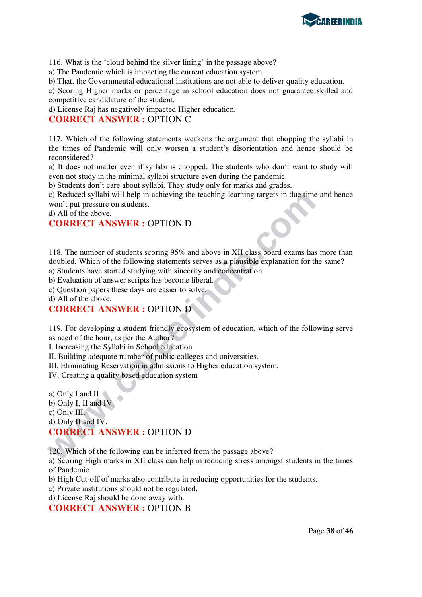

116. What is the 'cloud behind the silver lining' in the passage above?

a) The Pandemic which is impacting the current education system.

b) That, the Governmental educational institutions are not able to deliver quality education.

c) Scoring Higher marks or percentage in school education does not guarantee skilled and competitive candidature of the student.

d) License Raj has negatively impacted Higher education.

## **CORRECT ANSWER :** OPTION C

117. Which of the following statements weakens the argument that chopping the syllabi in the times of Pandemic will only worsen a student's disorientation and hence should be reconsidered?

a) It does not matter even if syllabi is chopped. The students who don't want to study will even not study in the minimal syllabi structure even during the pandemic.

b) Students don't care about syllabi. They study only for marks and grades.

c) Reduced syllabi will help in achieving the teaching-learning targets in due time and hence won't put pressure on students.

d) All of the above.

#### **CORRECT ANSWER :** OPTION D

c) Reduced syllabi will help in achieving the teaching-learning targets in due time are<br>won't put pressure on students.<br>d) All of the above.<br>**CORRECT ANSWER :** OPTION D<br>118. The number of students scoring 95% and above in 118. The number of students scoring 95% and above in XII class board exams has more than doubled. Which of the following statements serves as a plausible explanation for the same? a) Students have started studying with sincerity and concentration.

b) Evaluation of answer scripts has become liberal.

c) Question papers these days are easier to solve.

d) All of the above.

# **CORRECT ANSWER :** OPTION D

119. For developing a student friendly ecosystem of education, which of the following serve as need of the hour, as per the Author?

I. Increasing the Syllabi in School education.

II. Building adequate number of public colleges and universities.

III. Eliminating Reservation in admissions to Higher education system.

IV. Creating a quality based education system

a) Only I and II.

b) Only I, II and IV.

c) Only III.

d) Only II and IV.

## **CORRECT ANSWER :** OPTION D

120. Which of the following can be inferred from the passage above?

a) Scoring High marks in XII class can help in reducing stress amongst students in the times of Pandemic.

b) High Cut-off of marks also contribute in reducing opportunities for the students.

c) Private institutions should not be regulated.

d) License Raj should be done away with.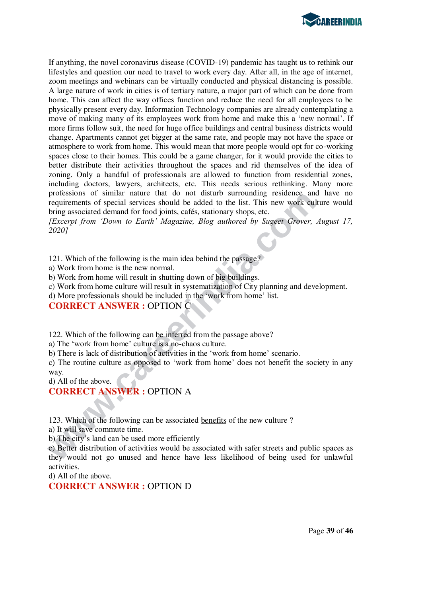

processions or similar nature that do not existing the<br>interaction requirements of special services should be added to the list. This new work eultr<br>bring associated demand for food joints, cafés, stationary shops, etc.<br> If anything, the novel coronavirus disease (COVID-19) pandemic has taught us to rethink our lifestyles and question our need to travel to work every day. After all, in the age of internet, zoom meetings and webinars can be virtually conducted and physical distancing is possible. A large nature of work in cities is of tertiary nature, a major part of which can be done from home. This can affect the way offices function and reduce the need for all employees to be physically present every day. Information Technology companies are already contemplating a move of making many of its employees work from home and make this a 'new normal'. If more firms follow suit, the need for huge office buildings and central business districts would change. Apartments cannot get bigger at the same rate, and people may not have the space or atmosphere to work from home. This would mean that more people would opt for co-working spaces close to their homes. This could be a game changer, for it would provide the cities to better distribute their activities throughout the spaces and rid themselves of the idea of zoning. Only a handful of professionals are allowed to function from residential zones, including doctors, lawyers, architects, etc. This needs serious rethinking. Many more professions of similar nature that do not disturb surrounding residence and have no requirements of special services should be added to the list. This new work culture would bring associated demand for food joints, cafés, stationary shops, etc.

*[Excerpt from "Down to Earth" Magazine, Blog authored by Sugeet Grover, August 17, 2020]* 

121. Which of the following is the main idea behind the passage?

a) Work from home is the new normal.

b) Work from home will result in shutting down of big buildings.

c) Work from home culture will result in systematization of City planning and development.

d) More professionals should be included in the 'work from home' list.

#### **CORRECT ANSWER :** OPTION C

122. Which of the following can be inferred from the passage above?

a) The 'work from home' culture is a no-chaos culture.

b) There is lack of distribution of activities in the 'work from home' scenario.

c) The routine culture as opposed to 'work from home' does not benefit the society in any way.

d) All of the above.

**CORRECT ANSWER :** OPTION A

123. Which of the following can be associated benefits of the new culture ?

a) It will save commute time.

b) The city's land can be used more efficiently

c) Better distribution of activities would be associated with safer streets and public spaces as they would not go unused and hence have less likelihood of being used for unlawful activities.

d) All of the above.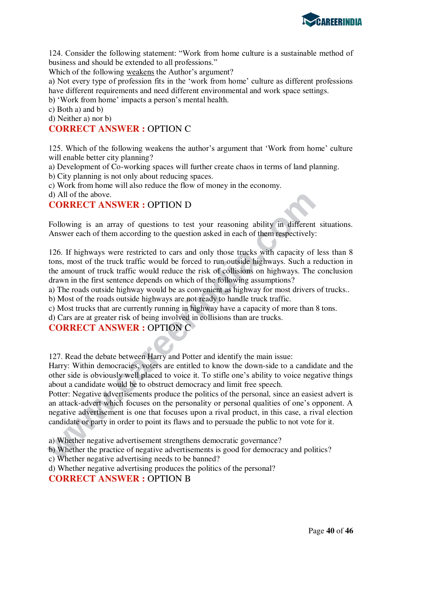

124. Consider the following statement: "Work from home culture is a sustainable method of business and should be extended to all professions."

Which of the following weakens the Author's argument?

a) Not every type of profession fits in the 'work from home' culture as different professions have different requirements and need different environmental and work space settings.

b) ‗Work from home' impacts a person's mental health.

c) Both a) and b)

d) Neither a) nor b)

## **CORRECT ANSWER :** OPTION C

125. Which of the following weakens the author's argument that 'Work from home' culture will enable better city planning?

a) Development of Co-working spaces will further create chaos in terms of land planning.

b) City planning is not only about reducing spaces.

c) Work from home will also reduce the flow of money in the economy.

d) All of the above.

## **CORRECT ANSWER :** OPTION D

Following is an array of questions to test your reasoning ability in different situations. Answer each of them according to the question asked in each of them respectively:

126. If highways were restricted to cars and only those trucks with capacity of less than 8 tons, most of the truck traffic would be forced to run outside highways. Such a reduction in the amount of truck traffic would reduce the risk of collisions on highways. The conclusion drawn in the first sentence depends on which of the following assumptions?

a) The roads outside highway would be as convenient as highway for most drivers of trucks..

b) Most of the roads outside highways are not ready to handle truck traffic.

c) Most trucks that are currently running in highway have a capacity of more than 8 tons.

d) Cars are at greater risk of being involved in collisions than are trucks.

## **CORRECT ANSWER :** OPTION C

127. Read the debate between Harry and Potter and identify the main issue:

Harry: Within democracies, voters are entitled to know the down-side to a candidate and the other side is obviously well placed to voice it. To stifle one's ability to voice negative things about a candidate would be to obstruct democracy and limit free speech.

d) All of the above.<br> **CORRECT ANSWER :** OPTION D<br>
Tollowing is an array of questions to test your reasoning ability in different site<br>
Answer each of them according to the question asked in each of them respectively:<br>
126 Potter: Negative advertisements produce the politics of the personal, since an easiest advert is an attack-advert which focuses on the personality or personal qualities of one's opponent. A negative advertisement is one that focuses upon a rival product, in this case, a rival election candidate or party in order to point its flaws and to persuade the public to not vote for it.

a) Whether negative advertisement strengthens democratic governance?

b) Whether the practice of negative advertisements is good for democracy and politics?

c) Whether negative advertising needs to be banned?

d) Whether negative advertising produces the politics of the personal?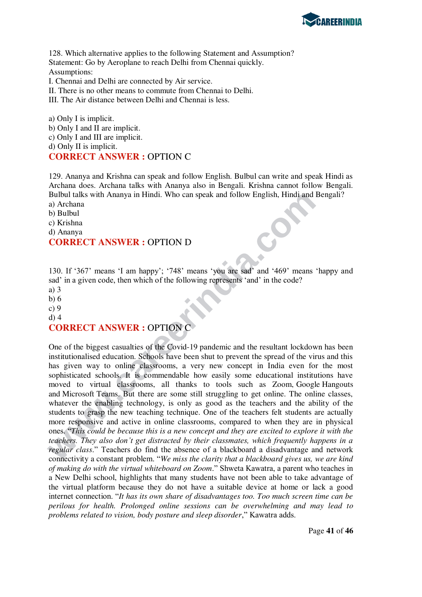

128. Which alternative applies to the following Statement and Assumption? Statement: Go by Aeroplane to reach Delhi from Chennai quickly. Assumptions:

I. Chennai and Delhi are connected by Air service.

II. There is no other means to commute from Chennai to Delhi.

III. The Air distance between Delhi and Chennai is less.

a) Only I is implicit. b) Only I and II are implicit. c) Only I and III are implicit. d) Only II is implicit. **CORRECT ANSWER :** OPTION C

129. Ananya and Krishna can speak and follow English. Bulbul can write and speak Hindi as Archana does. Archana talks with Ananya also in Bengali. Krishna cannot follow Bengali. Bulbul talks with Ananya in Hindi. Who can speak and follow English, Hindi and Bengali?

a) Archana

b) Bulbul

c) Krishna

d) Ananya

**CORRECT ANSWER :** OPTION D

130. If '367' means 'I am happy'; '748' means 'you are sad' and '469' means 'happy and sad' in a given code, then which of the following represents 'and' in the code?

a) 3

b) 6

c) 9 d) 4

#### **CORRECT ANSWER :** OPTION C

**Bubul takes** with Ananya in Hindi. Who can speak and follow English, Hindi and Ber<br>
a) Archana<br>
(b) Bubul<br>
(c) RTS of Times and the Collombia (c) The Collombia<br>
(d) Ananya<br>
(d) Ananya<br>
(d) Ananya<br>
(d) Ananya<br>
(d) Ananya<br> One of the biggest casualties of the Covid-19 pandemic and the resultant lockdown has been institutionalised education. Schools have been shut to prevent the spread of the virus and this has given way to online classrooms, a very new concept in India even for the most sophisticated schools. It is commendable how easily some educational institutions have moved to virtual classrooms, all thanks to tools such as Zoom, Google Hangouts and Microsoft Teams. But there are some still struggling to get online. The online classes, whatever the enabling technology, is only as good as the teachers and the ability of the students to grasp the new teaching technique. One of the teachers felt students are actually more responsive and active in online classrooms, compared to when they are in physical ones. ―*This could be because this is a new concept and they are excited to explore it with the teachers. They also don"t get distracted by their classmates, which frequently happens in a regular class*.‖ Teachers do find the absence of a blackboard a disadvantage and network connectivity a constant problem. "We miss the clarity that a blackboard gives us, we are kind *of making do with the virtual whiteboard on Zoom*.‖ Shweta Kawatra, a parent who teaches in a New Delhi school, highlights that many students have not been able to take advantage of the virtual platform because they do not have a suitable device at home or lack a good internet connection. "It has its own share of disadvantages too. Too much screen time can be *perilous for health. Prolonged online sessions can be overwhelming and may lead to*  problems related to vision, body posture and sleep disorder," Kawatra adds.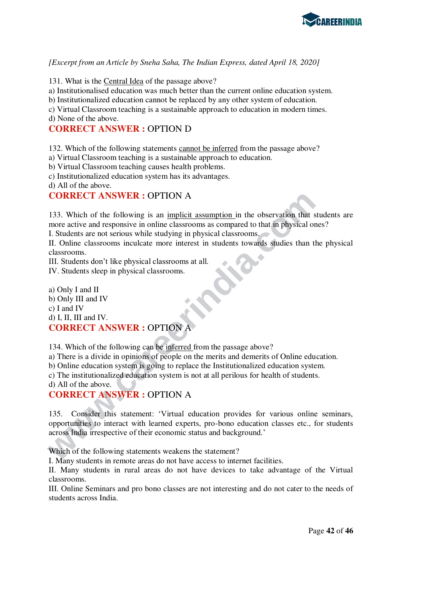

*[Excerpt from an Article by Sneha Saha, The Indian Express, dated April 18, 2020]* 

131. What is the Central Idea of the passage above?

a) Institutionalised education was much better than the current online education system.

b) Institutionalized education cannot be replaced by any other system of education.

c) Virtual Classroom teaching is a sustainable approach to education in modern times.

d) None of the above.

## **CORRECT ANSWER :** OPTION D

132. Which of the following statements cannot be inferred from the passage above?

a) Virtual Classroom teaching is a sustainable approach to education.

b) Virtual Classroom teaching causes health problems.

c) Institutionalized education system has its advantages.

d) All of the above.

#### **CORRECT ANSWER :** OPTION A

133. Which of the following is an implicit assumption in the observation that students are more active and responsive in online classrooms as compared to that in physical ones?

I. Students are not serious while studying in physical classrooms.

II. Online classrooms inculcate more interest in students towards studies than the physical classrooms.

III. Students don't like physical classrooms at all.

IV. Students sleep in physical classrooms.

a) Only I and II b) Only III and IV c) I and IV d) I, II, III and IV. **CORRECT ANSWER :** OPTION A

134. Which of the following can be inferred from the passage above?

a) There is a divide in opinions of people on the merits and demerits of Online education.

b) Online education system is going to replace the Institutionalized education system.

c) The institutionalized education system is not at all perilous for health of students.

d) All of the above.

**CORRECT ANSWER :** OPTION A

**CORRECT ANSWER :** OPTION A<br>
133. Which of the following is an <u>implicit assumption</u> in the observation that students are exity and responsive in online classrooms accompared to that in physical classrooms.<br>
II. Online cla 135. Consider this statement: 'Virtual education provides for various online seminars, opportunities to interact with learned experts, pro-bono education classes etc., for students across India irrespective of their economic status and background.'

Which of the following statements weakens the statement?

I. Many students in remote areas do not have access to internet facilities.

II. Many students in rural areas do not have devices to take advantage of the Virtual classrooms.

III. Online Seminars and pro bono classes are not interesting and do not cater to the needs of students across India.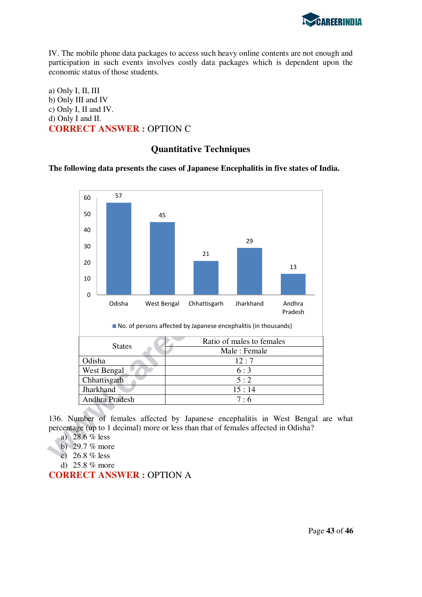

IV. The mobile phone data packages to access such heavy online contents are not enough and participation in such events involves costly data packages which is dependent upon the economic status of those students.

a) Only I, II, III b) Only III and IV c) Only I, II and IV. d) Only I and II. **CORRECT ANSWER :** OPTION C

## **Quantitative Techniques**

**The following data presents the cases of Japanese Encephalitis in five states of India.** 



136. Number of females affected by Japanese encephalitis in West Bengal are what percentage (up to 1 decimal) more or less than that of females affected in Odisha?

a) 28.6 % less

- b) 29.7 % more
- c) 26.8 % less
- d) 25.8 % more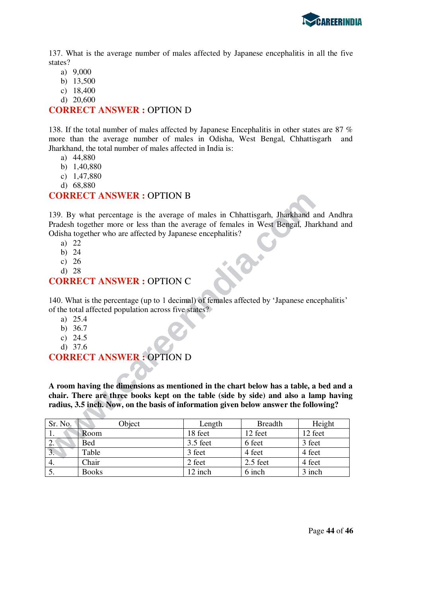

137. What is the average number of males affected by Japanese encephalitis in all the five states?

- a) 9,000
- b) 13,500
- c) 18,400
- d) 20,600

#### **CORRECT ANSWER :** OPTION D

138. If the total number of males affected by Japanese Encephalitis in other states are 87 % more than the average number of males in Odisha, West Bengal, Chhattisgarh and Jharkhand, the total number of males affected in India is:

- a) 44,880
- b) 1,40,880
- c) 1,47,880
- d) 68,880

#### **CORRECT ANSWER :** OPTION B

- a) 22
- b) 24
- c) 26
- d) 28

#### **CORRECT ANSWER :** OPTION C

- a) 25.4
- b) 36.7
- c) 24.5
- d) 37.6

#### **CORRECT ANSWER :** OPTION D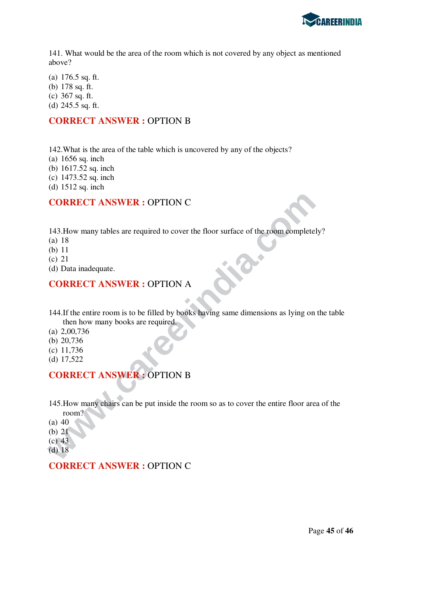

141. What would be the area of the room which is not covered by any object as mentioned above?

(a) 176.5 sq. ft. (b) 178 sq. ft. (c) 367 sq. ft. (d) 245.5 sq. ft.

## **CORRECT ANSWER :** OPTION B

142.What is the area of the table which is uncovered by any of the objects? (a) 1656 sq. inch (b) 1617.52 sq. inch (c) 1473.52 sq. inch (d) 1512 sq. inch

#### **CORRECT ANSWER :** OPTION C

143.How many tables are required to cover the floor surface of the room completely?

(a) 18

(b) 11

(c) 21

(d) Data inadequate.

#### **CORRECT ANSWER :** OPTION A

**EORRECT ANSWER : OPTION C**<br>
(a) 18<br>
(b) 11<br>
(c) 21<br>
(d) Data inadequate.<br> **WERCT ANSWER : OPTION A**<br>
(d) 12<br>
(d) Data inadequate.<br> **WERCT ANSWER : OPTION A**<br>
(e) 2.0,736<br>
(e) 11,736<br>
(d) 17,522<br> **CORRECT ANSWER : OPTION B** 144.If the entire room is to be filled by books having same dimensions as lying on the table then how many books are required.

(a) 2,00,736

(b) 20,736

(c) 11,736

(d) 17,522

## **CORRECT ANSWER :** OPTION B

145.How many chairs can be put inside the room so as to cover the entire floor area of the room?

(a) 40

(b) 21

(c) 43

(d) 18